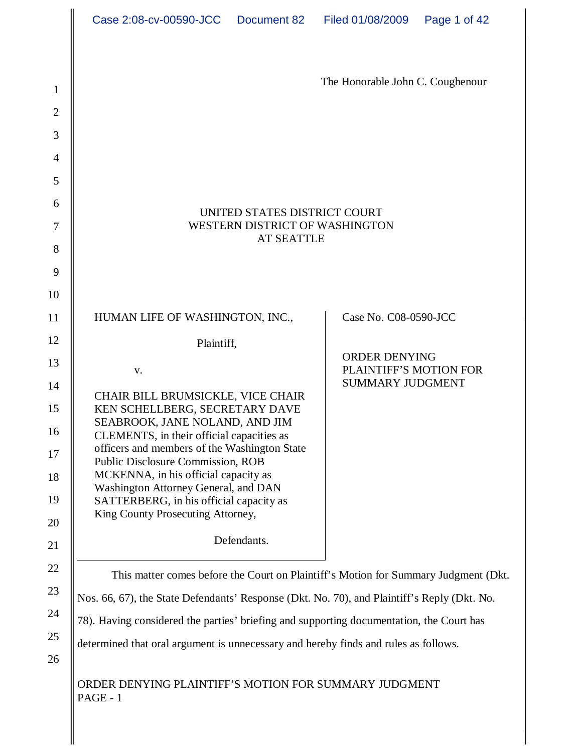|                     | Case 2:08-cv-00590-JCC Document 82                                                          | Filed 01/08/2009 |                       | Page 1 of 42                                      |  |
|---------------------|---------------------------------------------------------------------------------------------|------------------|-----------------------|---------------------------------------------------|--|
| 1<br>$\overline{2}$ |                                                                                             |                  |                       | The Honorable John C. Coughenour                  |  |
| 3                   |                                                                                             |                  |                       |                                                   |  |
| 4                   |                                                                                             |                  |                       |                                                   |  |
| 5                   |                                                                                             |                  |                       |                                                   |  |
| 6<br>7              | UNITED STATES DISTRICT COURT<br>WESTERN DISTRICT OF WASHINGTON                              |                  |                       |                                                   |  |
| 8                   | <b>AT SEATTLE</b>                                                                           |                  |                       |                                                   |  |
| 9                   |                                                                                             |                  |                       |                                                   |  |
| 10                  |                                                                                             |                  |                       |                                                   |  |
| 11                  | HUMAN LIFE OF WASHINGTON, INC.,                                                             |                  | Case No. C08-0590-JCC |                                                   |  |
| 12                  | Plaintiff,                                                                                  |                  | <b>ORDER DENYING</b>  |                                                   |  |
| 13<br>14            | V.                                                                                          |                  |                       | PLAINTIFF'S MOTION FOR<br><b>SUMMARY JUDGMENT</b> |  |
| 15                  | CHAIR BILL BRUMSICKLE, VICE CHAIR<br>KEN SCHELLBERG, SECRETARY DAVE                         |                  |                       |                                                   |  |
| 16                  | SEABROOK, JANE NOLAND, AND JIM<br>CLEMENTS, in their official capacities as                 |                  |                       |                                                   |  |
| 17                  | officers and members of the Washington State<br><b>Public Disclosure Commission, ROB</b>    |                  |                       |                                                   |  |
| 18                  | MCKENNA, in his official capacity as<br>Washington Attorney General, and DAN                |                  |                       |                                                   |  |
| 19                  | SATTERBERG, in his official capacity as<br>King County Prosecuting Attorney,                |                  |                       |                                                   |  |
| 20<br>21            | Defendants.                                                                                 |                  |                       |                                                   |  |
| 22                  | This matter comes before the Court on Plaintiff's Motion for Summary Judgment (Dkt.         |                  |                       |                                                   |  |
| 23                  | Nos. 66, 67), the State Defendants' Response (Dkt. No. 70), and Plaintiff's Reply (Dkt. No. |                  |                       |                                                   |  |
| 24                  | 78). Having considered the parties' briefing and supporting documentation, the Court has    |                  |                       |                                                   |  |
| 25<br>26            | determined that oral argument is unnecessary and hereby finds and rules as follows.         |                  |                       |                                                   |  |
|                     | ORDER DENYING PLAINTIFF'S MOTION FOR SUMMARY JUDGMENT<br>PAGE - 1                           |                  |                       |                                                   |  |

 $\parallel$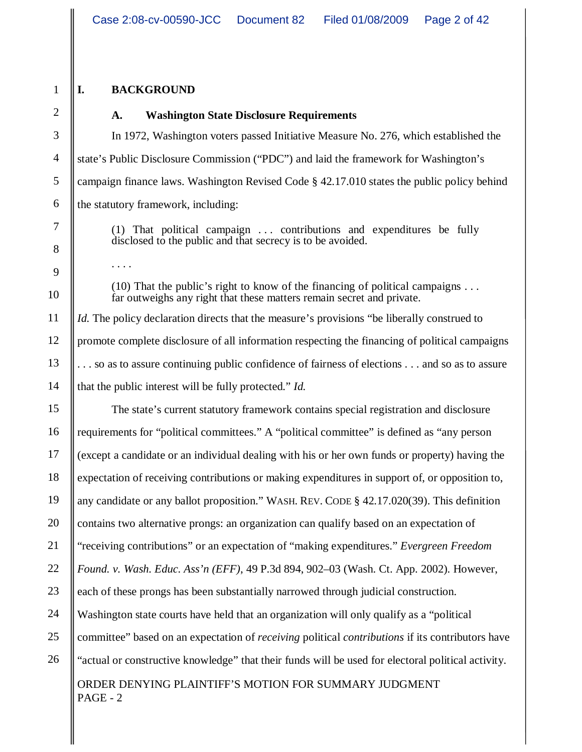#### **I. BACKGROUND**

. . . .

#### **A. Washington State Disclosure Requirements**

 In 1972, Washington voters passed Initiative Measure No. 276, which established the state's Public Disclosure Commission ("PDC") and laid the framework for Washington's campaign finance laws. Washington Revised Code § 42.17.010 states the public policy behind the statutory framework, including:

(1) That political campaign . . . contributions and expenditures be fully disclosed to the public and that secrecy is to be avoided.

(10) That the public's right to know of the financing of political campaigns . . . far outweighs any right that these matters remain secret and private.

*Id.* The policy declaration directs that the measure's provisions "be liberally construed to promote complete disclosure of all information respecting the financing of political campaigns . . . so as to assure continuing public confidence of fairness of elections . . . and so as to assure that the public interest will be fully protected." *Id.*

ORDER DENYING PLAINTIFF'S MOTION FOR SUMMARY JUDGMENT PAGE - 2 15 16 17 18 19 20 21 22 23 24 25 26 The state's current statutory framework contains special registration and disclosure requirements for "political committees." A "political committee" is defined as "any person (except a candidate or an individual dealing with his or her own funds or property) having the expectation of receiving contributions or making expenditures in support of, or opposition to, any candidate or any ballot proposition." WASH. REV. CODE § 42.17.020(39). This definition contains two alternative prongs: an organization can qualify based on an expectation of "receiving contributions" or an expectation of "making expenditures." *Evergreen Freedom Found. v. Wash. Educ. Ass'n (EFF)*, 49 P.3d 894, 902–03 (Wash. Ct. App. 2002). However, each of these prongs has been substantially narrowed through judicial construction. Washington state courts have held that an organization will only qualify as a "political committee" based on an expectation of *receiving* political *contributions* if its contributors have "actual or constructive knowledge" that their funds will be used for electoral political activity.

9

10

11

12

13

14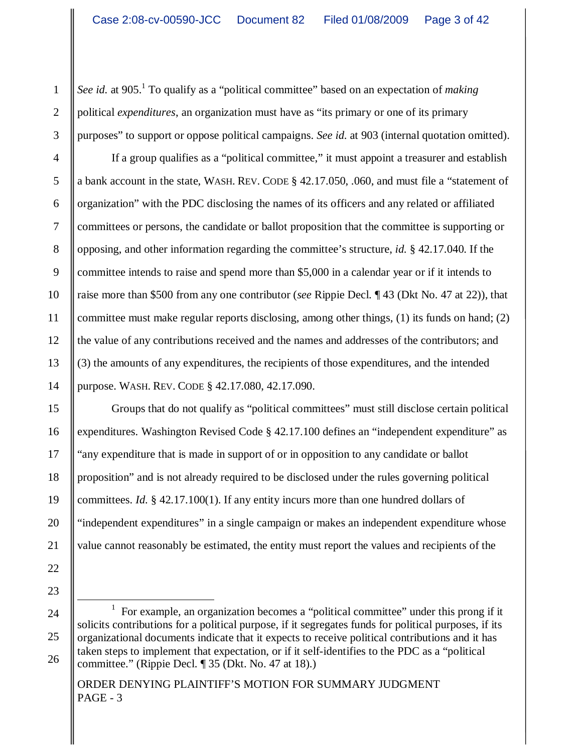See id. at 905.<sup>1</sup> To qualify as a "political committee" based on an expectation of *making* political *expenditures*, an organization must have as "its primary or one of its primary purposes" to support or oppose political campaigns. *See id.* at 903 (internal quotation omitted).

 If a group qualifies as a "political committee," it must appoint a treasurer and establish a bank account in the state, WASH. REV. CODE § 42.17.050, .060, and must file a "statement of organization" with the PDC disclosing the names of its officers and any related or affiliated committees or persons, the candidate or ballot proposition that the committee is supporting or opposing, and other information regarding the committee's structure, *id.* § 42.17.040. If the committee intends to raise and spend more than \$5,000 in a calendar year or if it intends to raise more than \$500 from any one contributor (*see* Rippie Decl. ¶ 43 (Dkt No. 47 at 22)), that committee must make regular reports disclosing, among other things, (1) its funds on hand; (2) the value of any contributions received and the names and addresses of the contributors; and (3) the amounts of any expenditures, the recipients of those expenditures, and the intended purpose. WASH. REV. CODE § 42.17.080, 42.17.090.

19 20 21 Groups that do not qualify as "political committees" must still disclose certain political expenditures. Washington Revised Code § 42.17.100 defines an "independent expenditure" as "any expenditure that is made in support of or in opposition to any candidate or ballot proposition" and is not already required to be disclosed under the rules governing political committees. *Id.* § 42.17.100(1). If any entity incurs more than one hundred dollars of "independent expenditures" in a single campaign or makes an independent expenditure whose value cannot reasonably be estimated, the entity must report the values and recipients of the

ORDER DENYING PLAINTIFF'S MOTION FOR SUMMARY JUDGMENT PAGE - 3

1

25

22

23

<sup>24</sup> 26  $\begin{array}{c}\n\hline\n\hline\n\hline\n\hline\n\hline\n\end{array}$ <sup>1</sup> For example, an organization becomes a "political committee" under this prong if it solicits contributions for a political purpose, if it segregates funds for political purposes, if its organizational documents indicate that it expects to receive political contributions and it has taken steps to implement that expectation, or if it self-identifies to the PDC as a "political committee." (Rippie Decl. ¶ 35 (Dkt. No. 47 at 18).)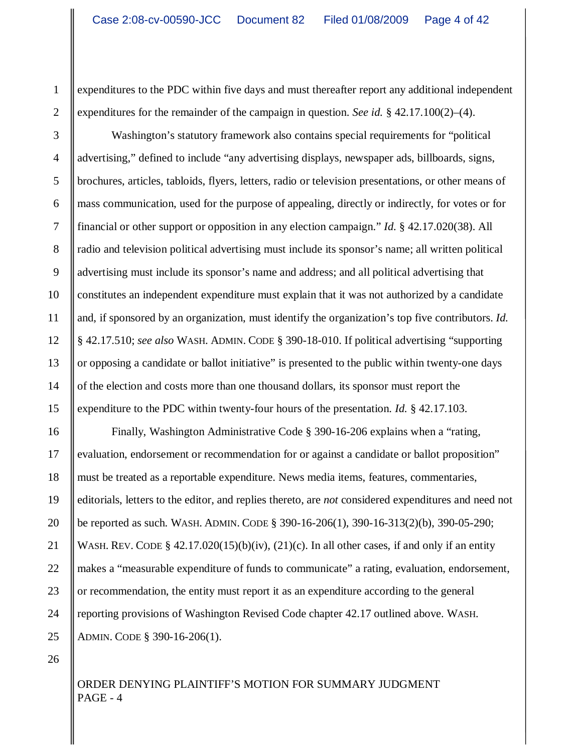expenditures to the PDC within five days and must thereafter report any additional independent expenditures for the remainder of the campaign in question. *See id.* § 42.17.100(2)–(4).

12 13 14 15 Washington's statutory framework also contains special requirements for "political advertising," defined to include "any advertising displays, newspaper ads, billboards, signs, brochures, articles, tabloids, flyers, letters, radio or television presentations, or other means of mass communication, used for the purpose of appealing, directly or indirectly, for votes or for financial or other support or opposition in any election campaign." *Id.* § 42.17.020(38). All radio and television political advertising must include its sponsor's name; all written political advertising must include its sponsor's name and address; and all political advertising that constitutes an independent expenditure must explain that it was not authorized by a candidate and, if sponsored by an organization, must identify the organization's top five contributors. *Id.* § 42.17.510; *see also* WASH. ADMIN. CODE § 390-18-010. If political advertising "supporting or opposing a candidate or ballot initiative" is presented to the public within twenty-one days of the election and costs more than one thousand dollars, its sponsor must report the expenditure to the PDC within twenty-four hours of the presentation. *Id.* § 42.17.103.

16 17 18 19 20 21 22 23 24 25 Finally, Washington Administrative Code § 390-16-206 explains when a "rating, evaluation, endorsement or recommendation for or against a candidate or ballot proposition" must be treated as a reportable expenditure. News media items, features, commentaries, editorials, letters to the editor, and replies thereto, are *not* considered expenditures and need not be reported as such. WASH. ADMIN. CODE § 390-16-206(1), 390-16-313(2)(b), 390-05-290; WASH. REV. CODE  $\S$  42.17.020(15)(b)(iv), (21)(c). In all other cases, if and only if an entity makes a "measurable expenditure of funds to communicate" a rating, evaluation, endorsement, or recommendation, the entity must report it as an expenditure according to the general reporting provisions of Washington Revised Code chapter 42.17 outlined above. WASH. ADMIN. CODE § 390-16-206(1).

26

1

2

3

4

5

6

7

8

9

10

11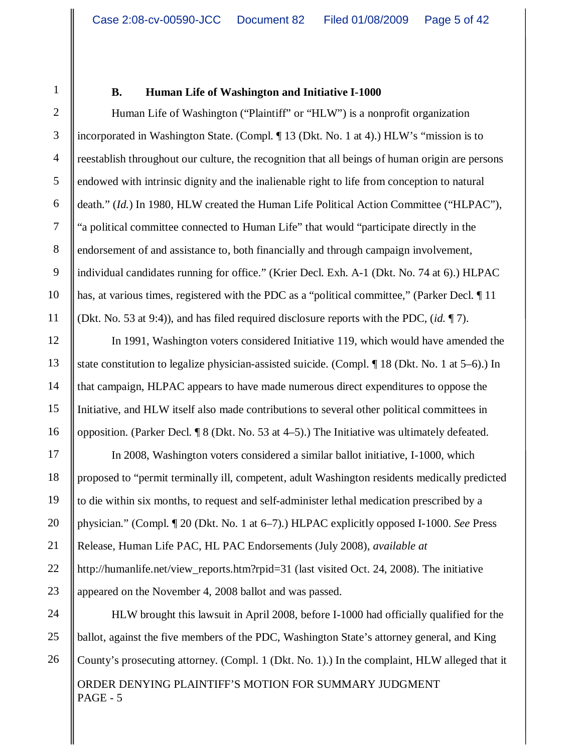#### **B. Human Life of Washington and Initiative I-1000**

 Human Life of Washington ("Plaintiff" or "HLW") is a nonprofit organization incorporated in Washington State. (Compl. ¶ 13 (Dkt. No. 1 at 4).) HLW's "mission is to reestablish throughout our culture, the recognition that all beings of human origin are persons endowed with intrinsic dignity and the inalienable right to life from conception to natural death." (*Id.*) In 1980, HLW created the Human Life Political Action Committee ("HLPAC"), "a political committee connected to Human Life" that would "participate directly in the endorsement of and assistance to, both financially and through campaign involvement, individual candidates running for office." (Krier Decl. Exh. A-1 (Dkt. No. 74 at 6).) HLPAC has, at various times, registered with the PDC as a "political committee," (Parker Decl.  $\P$  11 (Dkt. No. 53 at 9:4)), and has filed required disclosure reports with the PDC, (*id.* ¶ 7).

 In 1991, Washington voters considered Initiative 119, which would have amended the state constitution to legalize physician-assisted suicide. (Compl. ¶ 18 (Dkt. No. 1 at 5–6).) In that campaign, HLPAC appears to have made numerous direct expenditures to oppose the Initiative, and HLW itself also made contributions to several other political committees in opposition. (Parker Decl. ¶ 8 (Dkt. No. 53 at 4–5).) The Initiative was ultimately defeated.

 In 2008, Washington voters considered a similar ballot initiative, I-1000, which proposed to "permit terminally ill, competent, adult Washington residents medically predicted to die within six months, to request and self-administer lethal medication prescribed by a physician." (Compl. ¶ 20 (Dkt. No. 1 at 6–7).) HLPAC explicitly opposed I-1000. *See* Press Release, Human Life PAC, HL PAC Endorsements (July 2008), *available at*  http://humanlife.net/view\_reports.htm?rpid=31 (last visited Oct. 24, 2008). The initiative appeared on the November 4, 2008 ballot and was passed.

ORDER DENYING PLAINTIFF'S MOTION FOR SUMMARY JUDGMENT PAGE - 5 HLW brought this lawsuit in April 2008, before I-1000 had officially qualified for the ballot, against the five members of the PDC, Washington State's attorney general, and King County's prosecuting attorney. (Compl. 1 (Dkt. No. 1).) In the complaint, HLW alleged that it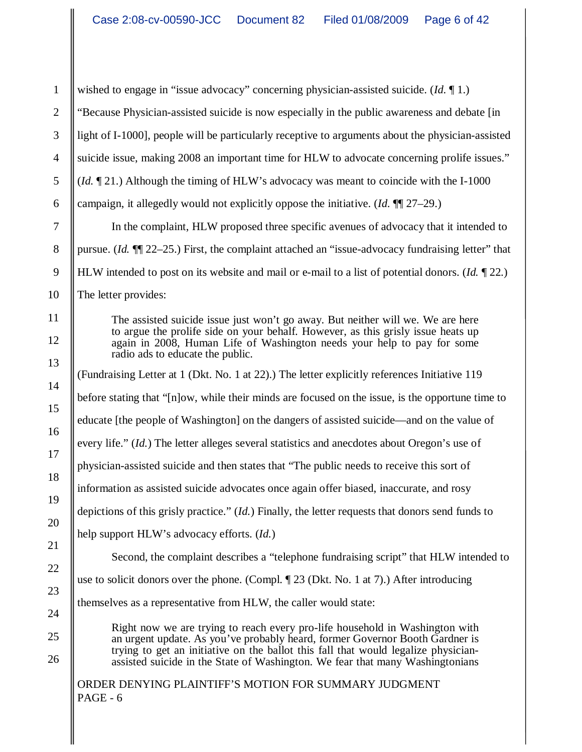ORDER DENYING PLAINTIFF'S MOTION FOR SUMMARY JUDGMENT  $PAGE - 6$ 1  $\overline{2}$ 3 7 25 26 wished to engage in "issue advocacy" concerning physician-assisted suicide. (*Id.* ¶ 1.) "Because Physician-assisted suicide is now especially in the public awareness and debate [in light of I-1000], people will be particularly receptive to arguments about the physician-assisted suicide issue, making 2008 an important time for HLW to advocate concerning prolife issues." (*Id.* ¶ 21.) Although the timing of HLW's advocacy was meant to coincide with the I-1000 campaign, it allegedly would not explicitly oppose the initiative. (*Id.* ¶¶ 27–29.) In the complaint, HLW proposed three specific avenues of advocacy that it intended to pursue. (*Id.* ¶¶ 22–25.) First, the complaint attached an "issue-advocacy fundraising letter" that HLW intended to post on its website and mail or e-mail to a list of potential donors. (*Id.* ¶ 22.) The letter provides: The assisted suicide issue just won't go away. But neither will we. We are here to argue the prolife side on your behalf. However, as this grisly issue heats up again in 2008, Human Life of Washington needs your help to pay for some radio ads to educate the public. (Fundraising Letter at 1 (Dkt. No. 1 at 22).) The letter explicitly references Initiative 119 before stating that "[n]ow, while their minds are focused on the issue, is the opportune time to educate [the people of Washington] on the dangers of assisted suicide—and on the value of every life." (*Id.*) The letter alleges several statistics and anecdotes about Oregon's use of physician-assisted suicide and then states that "The public needs to receive this sort of information as assisted suicide advocates once again offer biased, inaccurate, and rosy depictions of this grisly practice." (*Id.*) Finally, the letter requests that donors send funds to help support HLW's advocacy efforts. (*Id.*) Second, the complaint describes a "telephone fundraising script" that HLW intended to use to solicit donors over the phone. (Compl. ¶ 23 (Dkt. No. 1 at 7).) After introducing themselves as a representative from HLW, the caller would state: Right now we are trying to reach every pro-life household in Washington with an urgent update. As you've probably heard, former Governor Booth Gardner is trying to get an initiative on the ballot this fall that would legalize physicianassisted suicide in the State of Washington. We fear that many Washingtonians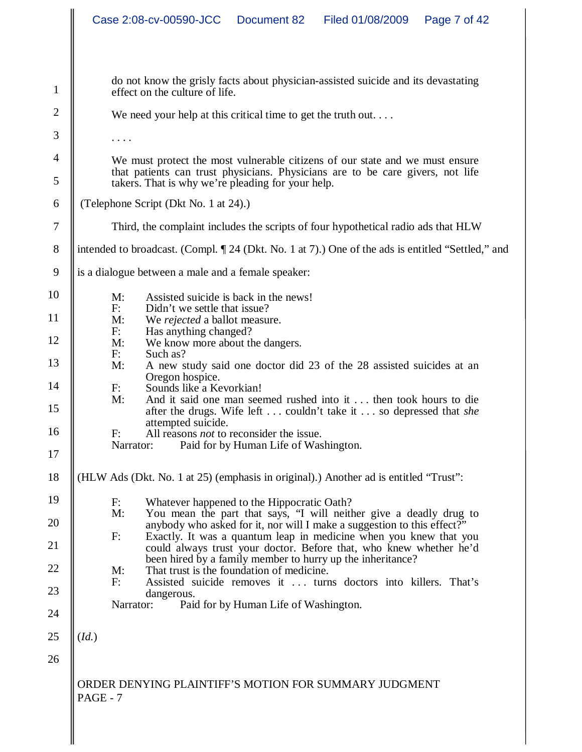|                | Case 2:08-cv-00590-JCC<br>Document 82<br>Filed 01/08/2009<br>Page 7 of 42                                                                                                                                           |  |  |  |
|----------------|---------------------------------------------------------------------------------------------------------------------------------------------------------------------------------------------------------------------|--|--|--|
|                |                                                                                                                                                                                                                     |  |  |  |
| $\mathbf{1}$   | do not know the grisly facts about physician-assisted suicide and its devastating<br>effect on the culture of life.                                                                                                 |  |  |  |
| $\overline{c}$ | We need your help at this critical time to get the truth out                                                                                                                                                        |  |  |  |
| 3              | $\cdot$ $\cdot$ $\cdot$                                                                                                                                                                                             |  |  |  |
| 4<br>5         | We must protect the most vulnerable citizens of our state and we must ensure<br>that patients can trust physicians. Physicians are to be care givers, not life<br>takers. That is why we're pleading for your help. |  |  |  |
| 6              | (Telephone Script (Dkt No. 1 at 24).)                                                                                                                                                                               |  |  |  |
| $\tau$         | Third, the complaint includes the scripts of four hypothetical radio ads that HLW                                                                                                                                   |  |  |  |
| 8              | intended to broadcast. (Compl. ¶ 24 (Dkt. No. 1 at 7).) One of the ads is entitled "Settled," and                                                                                                                   |  |  |  |
| 9              | is a dialogue between a male and a female speaker:                                                                                                                                                                  |  |  |  |
| 10             | Assisted suicide is back in the news!<br>M:                                                                                                                                                                         |  |  |  |
| 11             | F:<br>Didn't we settle that issue?<br>M:<br>We rejected a ballot measure.                                                                                                                                           |  |  |  |
| 12             | F:<br>Has anything changed?<br>M:<br>We know more about the dangers.                                                                                                                                                |  |  |  |
| 13             | F:<br>Such as?<br>M:<br>A new study said one doctor did 23 of the 28 assisted suicides at an                                                                                                                        |  |  |  |
| 14             | Oregon hospice.<br>Sounds like a Kevorkian!<br>F:                                                                                                                                                                   |  |  |  |
| 15             | M:<br>And it said one man seemed rushed into it then took hours to die<br>after the drugs. Wife left  couldn't take it  so depressed that <i>she</i><br>attempted suicide.                                          |  |  |  |
| 16<br>17       | All reasons not to reconsider the issue.<br>F:<br>Narrator:<br>Paid for by Human Life of Washington.                                                                                                                |  |  |  |
| 18             | (HLW Ads (Dkt. No. 1 at 25) (emphasis in original).) Another ad is entitled "Trust":                                                                                                                                |  |  |  |
| 19             | F:<br>Whatever happened to the Hippocratic Oath?<br>M:<br>You mean the part that says, "I will neither give a deadly drug to                                                                                        |  |  |  |
| 20<br>21       | anybody who asked for it, nor will I make a suggestion to this effect?"<br>F:<br>Exactly. It was a quantum leap in medicine when you knew that you                                                                  |  |  |  |
| 22             | could always trust your doctor. Before that, who knew whether he'd<br>been hired by a family member to hurry up the inheritance?                                                                                    |  |  |  |
| 23             | That trust is the foundation of medicine.<br>M:<br>F:<br>Assisted suicide removes it  turns doctors into killers. That's                                                                                            |  |  |  |
| 24             | dangerous.<br>Narrator:<br>Paid for by Human Life of Washington.                                                                                                                                                    |  |  |  |
| 25             | (Id.)                                                                                                                                                                                                               |  |  |  |
| 26             |                                                                                                                                                                                                                     |  |  |  |
|                | ORDER DENYING PLAINTIFF'S MOTION FOR SUMMARY JUDGMENT<br>PAGE - 7                                                                                                                                                   |  |  |  |
|                |                                                                                                                                                                                                                     |  |  |  |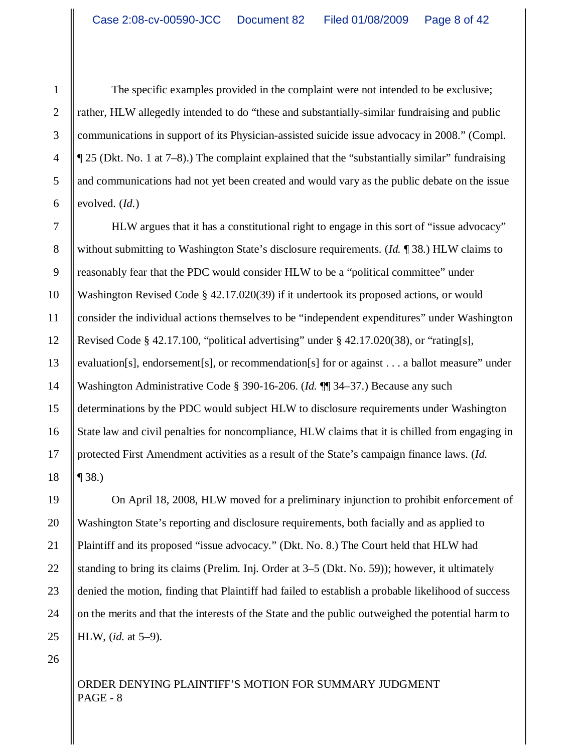The specific examples provided in the complaint were not intended to be exclusive; rather, HLW allegedly intended to do "these and substantially-similar fundraising and public communications in support of its Physician-assisted suicide issue advocacy in 2008." (Compl. ¶ 25 (Dkt. No. 1 at 7–8).) The complaint explained that the "substantially similar" fundraising and communications had not yet been created and would vary as the public debate on the issue evolved. (*Id.*)

7 8 9 10 11 12 13 14 15 16 17 18 HLW argues that it has a constitutional right to engage in this sort of "issue advocacy" without submitting to Washington State's disclosure requirements. (*Id.* ¶ 38.) HLW claims to reasonably fear that the PDC would consider HLW to be a "political committee" under Washington Revised Code § 42.17.020(39) if it undertook its proposed actions, or would consider the individual actions themselves to be "independent expenditures" under Washington Revised Code  $\S$  42.17.100, "political advertising" under  $\S$  42.17.020(38), or "rating[s], evaluation[s], endorsement[s], or recommendation[s] for or against . . . a ballot measure" under Washington Administrative Code § 390-16-206. (*Id.* ¶¶ 34–37.) Because any such determinations by the PDC would subject HLW to disclosure requirements under Washington State law and civil penalties for noncompliance, HLW claims that it is chilled from engaging in protected First Amendment activities as a result of the State's campaign finance laws. (*Id.* ¶ 38.)

19 20 21 22 23 24 25 On April 18, 2008, HLW moved for a preliminary injunction to prohibit enforcement of Washington State's reporting and disclosure requirements, both facially and as applied to Plaintiff and its proposed "issue advocacy." (Dkt. No. 8.) The Court held that HLW had standing to bring its claims (Prelim. Inj. Order at 3–5 (Dkt. No. 59)); however, it ultimately denied the motion, finding that Plaintiff had failed to establish a probable likelihood of success on the merits and that the interests of the State and the public outweighed the potential harm to HLW, (*id.* at 5–9).

26

1

2

3

4

5

6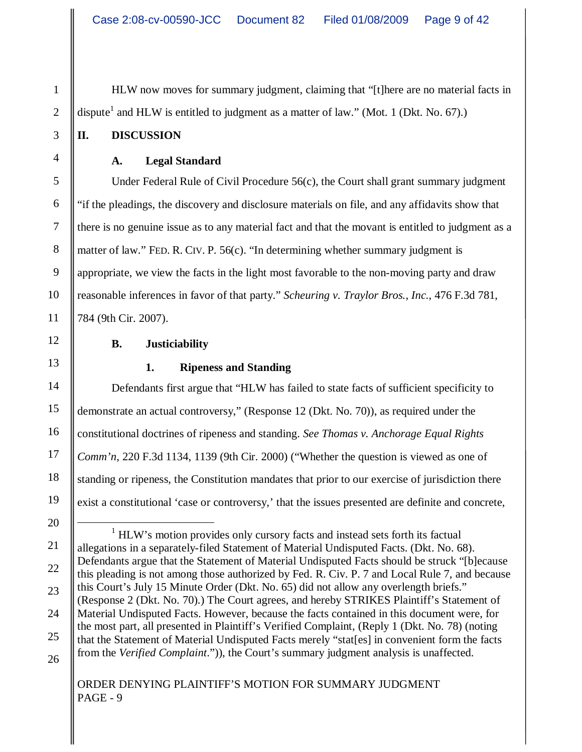HLW now moves for summary judgment, claiming that "[t]here are no material facts in dispute<sup>1</sup> and HLW is entitled to judgment as a matter of law." (Mot. 1 (Dkt. No. 67).)

# **II. DISCUSSION**

#### **A. Legal Standard**

 Under Federal Rule of Civil Procedure 56(c), the Court shall grant summary judgment "if the pleadings, the discovery and disclosure materials on file, and any affidavits show that there is no genuine issue as to any material fact and that the movant is entitled to judgment as a matter of law." FED. R. CIV. P. 56(c). "In determining whether summary judgment is appropriate, we view the facts in the light most favorable to the non-moving party and draw reasonable inferences in favor of that party." *Scheuring v. Traylor Bros., Inc.*, 476 F.3d 781, 784 (9th Cir. 2007).

 **B. Justiciability** 

# **1. Ripeness and Standing**

 Defendants first argue that "HLW has failed to state facts of sufficient specificity to demonstrate an actual controversy," (Response 12 (Dkt. No. 70)), as required under the constitutional doctrines of ripeness and standing. *See Thomas v. Anchorage Equal Rights Comm'n*, 220 F.3d 1134, 1139 (9th Cir. 2000) ("Whether the question is viewed as one of standing or ripeness, the Constitution mandates that prior to our exercise of jurisdiction there exist a constitutional 'case or controversy,' that the issues presented are definite and concrete,

ORDER DENYING PLAINTIFF'S MOTION FOR SUMMARY JUDGMENT PAGE - 9

1

 $\overline{2}$ 

<sup>23</sup> 24 25 26  $\frac{1}{1}$  $\mu$ <sup>1</sup> HLW's motion provides only cursory facts and instead sets forth its factual allegations in a separately-filed Statement of Material Undisputed Facts. (Dkt. No. 68). Defendants argue that the Statement of Material Undisputed Facts should be struck "[b]ecause this pleading is not among those authorized by Fed. R. Civ. P. 7 and Local Rule 7, and because this Court's July 15 Minute Order (Dkt. No. 65) did not allow any overlength briefs." (Response 2 (Dkt. No. 70).) The Court agrees, and hereby STRIKES Plaintiff's Statement of Material Undisputed Facts. However, because the facts contained in this document were, for the most part, all presented in Plaintiff's Verified Complaint, (Reply 1 (Dkt. No. 78) (noting that the Statement of Material Undisputed Facts merely "stat[es] in convenient form the facts from the *Verified Complaint*.")), the Court's summary judgment analysis is unaffected.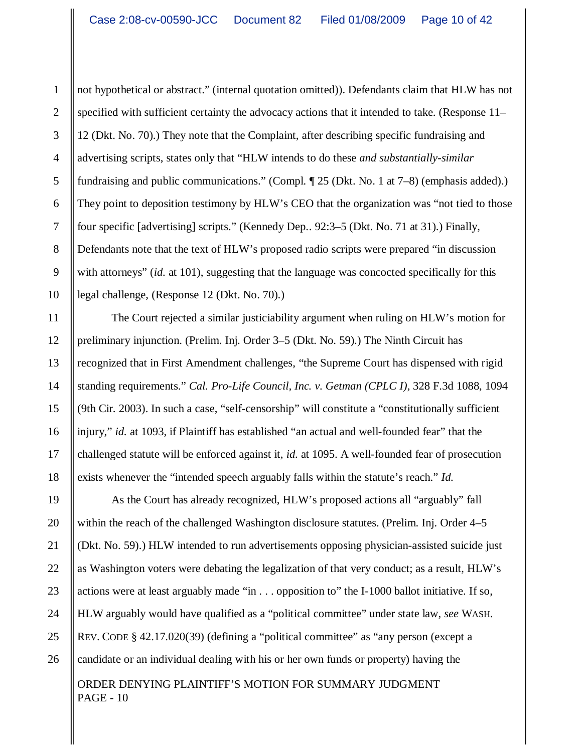1  $\mathfrak{D}$ 3 4 5 6 7 8 9 10 not hypothetical or abstract." (internal quotation omitted)). Defendants claim that HLW has not specified with sufficient certainty the advocacy actions that it intended to take. (Response 11– 12 (Dkt. No. 70).) They note that the Complaint, after describing specific fundraising and advertising scripts, states only that "HLW intends to do these *and substantially-similar* fundraising and public communications." (Compl. ¶ 25 (Dkt. No. 1 at 7–8) (emphasis added).) They point to deposition testimony by HLW's CEO that the organization was "not tied to those four specific [advertising] scripts." (Kennedy Dep.. 92:3–5 (Dkt. No. 71 at 31).) Finally, Defendants note that the text of HLW's proposed radio scripts were prepared "in discussion with attorneys" *(id.* at 101), suggesting that the language was concocted specifically for this legal challenge, (Response 12 (Dkt. No. 70).)

11 12 13 14 15 16 17 18 The Court rejected a similar justiciability argument when ruling on HLW's motion for preliminary injunction. (Prelim. Inj. Order 3–5 (Dkt. No. 59).) The Ninth Circuit has recognized that in First Amendment challenges, "the Supreme Court has dispensed with rigid standing requirements." *Cal. Pro-Life Council, Inc. v. Getman (CPLC I)*, 328 F.3d 1088, 1094 (9th Cir. 2003). In such a case, "self-censorship" will constitute a "constitutionally sufficient injury," *id.* at 1093, if Plaintiff has established "an actual and well-founded fear" that the challenged statute will be enforced against it, *id.* at 1095. A well-founded fear of prosecution exists whenever the "intended speech arguably falls within the statute's reach." *Id.*

ORDER DENYING PLAINTIFF'S MOTION FOR SUMMARY JUDGMENT PAGE - 10 19 20 21 22 23 24 25 26 As the Court has already recognized, HLW's proposed actions all "arguably" fall within the reach of the challenged Washington disclosure statutes. (Prelim. Inj. Order 4–5 (Dkt. No. 59).) HLW intended to run advertisements opposing physician-assisted suicide just as Washington voters were debating the legalization of that very conduct; as a result, HLW's actions were at least arguably made "in . . . opposition to" the I-1000 ballot initiative. If so, HLW arguably would have qualified as a "political committee" under state law, *see* WASH. REV. CODE § 42.17.020(39) (defining a "political committee" as "any person (except a candidate or an individual dealing with his or her own funds or property) having the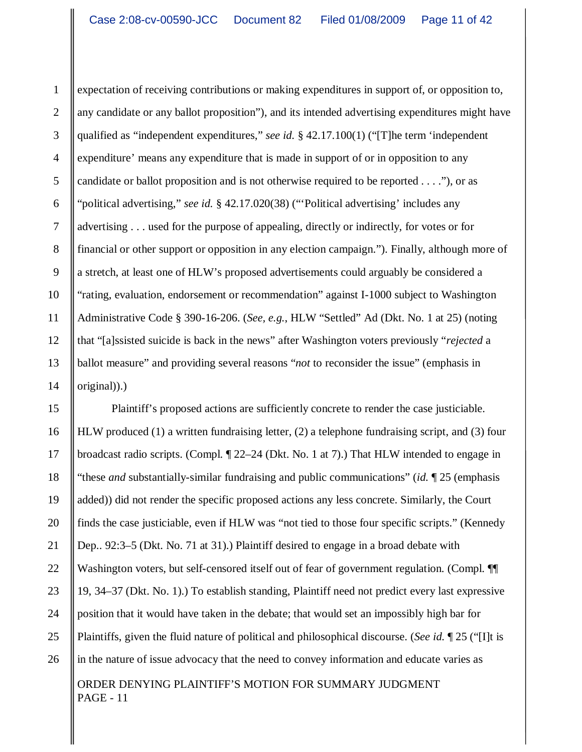1 2 3 4 5 6 7 8 9 10 11 12 13 14 expectation of receiving contributions or making expenditures in support of, or opposition to, any candidate or any ballot proposition"), and its intended advertising expenditures might have qualified as "independent expenditures," *see id.* § 42.17.100(1) ("[T]he term 'independent expenditure' means any expenditure that is made in support of or in opposition to any candidate or ballot proposition and is not otherwise required to be reported  $\dots$ ."), or as "political advertising," *see id.* § 42.17.020(38) ("'Political advertising' includes any advertising . . . used for the purpose of appealing, directly or indirectly, for votes or for financial or other support or opposition in any election campaign."). Finally, although more of a stretch, at least one of HLW's proposed advertisements could arguably be considered a "rating, evaluation, endorsement or recommendation" against I-1000 subject to Washington Administrative Code § 390-16-206. (*See, e.g.*, HLW "Settled" Ad (Dkt. No. 1 at 25) (noting that "[a]ssisted suicide is back in the news" after Washington voters previously "*rejected* a ballot measure" and providing several reasons "*not* to reconsider the issue" (emphasis in original)).)

ORDER DENYING PLAINTIFF'S MOTION FOR SUMMARY JUDGMENT 15 16 17 18 19 20 21 22 23 24 25 26 Plaintiff's proposed actions are sufficiently concrete to render the case justiciable. HLW produced (1) a written fundraising letter, (2) a telephone fundraising script, and (3) four broadcast radio scripts. (Compl. ¶ 22–24 (Dkt. No. 1 at 7).) That HLW intended to engage in "these *and* substantially-similar fundraising and public communications" (*id.* ¶ 25 (emphasis added)) did not render the specific proposed actions any less concrete. Similarly, the Court finds the case justiciable, even if HLW was "not tied to those four specific scripts." (Kennedy Dep.. 92:3–5 (Dkt. No. 71 at 31).) Plaintiff desired to engage in a broad debate with Washington voters, but self-censored itself out of fear of government regulation. (Compl. ¶ 19, 34–37 (Dkt. No. 1).) To establish standing, Plaintiff need not predict every last expressive position that it would have taken in the debate; that would set an impossibly high bar for Plaintiffs, given the fluid nature of political and philosophical discourse. (*See id.* ¶ 25 ("[I]t is in the nature of issue advocacy that the need to convey information and educate varies as

PAGE - 11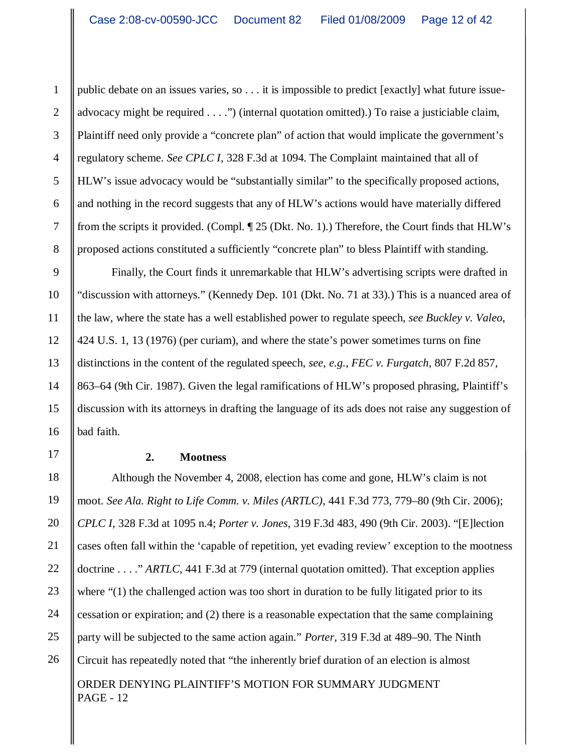1 2 3 4 5 6 7 8 public debate on an issues varies, so . . . it is impossible to predict [exactly] what future issueadvocacy might be required . . . .") (internal quotation omitted).) To raise a justiciable claim, Plaintiff need only provide a "concrete plan" of action that would implicate the government's regulatory scheme. *See CPLC I*, 328 F.3d at 1094. The Complaint maintained that all of HLW's issue advocacy would be "substantially similar" to the specifically proposed actions, and nothing in the record suggests that any of HLW's actions would have materially differed from the scripts it provided. (Compl. ¶ 25 (Dkt. No. 1).) Therefore, the Court finds that HLW's proposed actions constituted a sufficiently "concrete plan" to bless Plaintiff with standing.

9 10 11 12 13 14 15 16 Finally, the Court finds it unremarkable that HLW's advertising scripts were drafted in "discussion with attorneys." (Kennedy Dep. 101 (Dkt. No. 71 at 33).) This is a nuanced area of the law, where the state has a well established power to regulate speech, *see Buckley v. Valeo*, 424 U.S. 1, 13 (1976) (per curiam), and where the state's power sometimes turns on fine distinctions in the content of the regulated speech, *see, e.g.*, *FEC v. Furgatch*, 807 F.2d 857, 863–64 (9th Cir. 1987). Given the legal ramifications of HLW's proposed phrasing, Plaintiff's discussion with its attorneys in drafting the language of its ads does not raise any suggestion of bad faith.

17

### **2. Mootness**

ORDER DENYING PLAINTIFF'S MOTION FOR SUMMARY JUDGMENT PAGE - 12 18 19 20 21 22 23 24 25 26 Although the November 4, 2008, election has come and gone, HLW's claim is not moot. *See Ala. Right to Life Comm. v. Miles (ARTLC)*, 441 F.3d 773, 779–80 (9th Cir. 2006); *CPLC I*, 328 F.3d at 1095 n.4; *Porter v. Jones*, 319 F.3d 483, 490 (9th Cir. 2003). "[E]lection cases often fall within the 'capable of repetition, yet evading review' exception to the mootness doctrine . . . ." *ARTLC*, 441 F.3d at 779 (internal quotation omitted). That exception applies where "(1) the challenged action was too short in duration to be fully litigated prior to its cessation or expiration; and (2) there is a reasonable expectation that the same complaining party will be subjected to the same action again." *Porter*, 319 F.3d at 489–90. The Ninth Circuit has repeatedly noted that "the inherently brief duration of an election is almost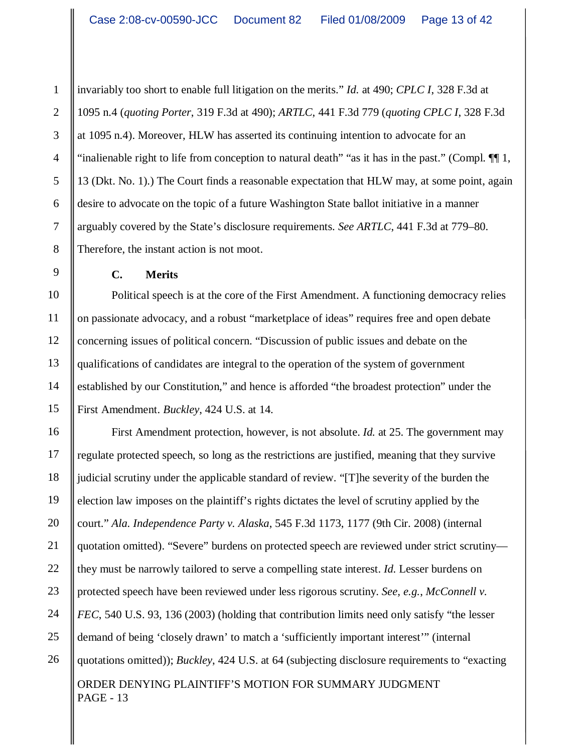1  $\mathfrak{D}$ 3 4 5 6 7 8 invariably too short to enable full litigation on the merits." *Id.* at 490; *CPLC I*, 328 F.3d at 1095 n.4 (*quoting Porter*, 319 F.3d at 490); *ARTLC*, 441 F.3d 779 (*quoting CPLC I*, 328 F.3d at 1095 n.4). Moreover, HLW has asserted its continuing intention to advocate for an "inalienable right to life from conception to natural death" "as it has in the past." (Compl. ¶¶ 1, 13 (Dkt. No. 1).) The Court finds a reasonable expectation that HLW may, at some point, again desire to advocate on the topic of a future Washington State ballot initiative in a manner arguably covered by the State's disclosure requirements. *See ARTLC*, 441 F.3d at 779–80. Therefore, the instant action is not moot.

 **C. Merits** 

9

10 11 12 13 14 15 Political speech is at the core of the First Amendment. A functioning democracy relies on passionate advocacy, and a robust "marketplace of ideas" requires free and open debate concerning issues of political concern. "Discussion of public issues and debate on the qualifications of candidates are integral to the operation of the system of government established by our Constitution," and hence is afforded "the broadest protection" under the First Amendment. *Buckley*, 424 U.S. at 14.

ORDER DENYING PLAINTIFF'S MOTION FOR SUMMARY JUDGMENT PAGE - 13 16 17 18 19 20 21 22 23 24 25 26 First Amendment protection, however, is not absolute. *Id.* at 25. The government may regulate protected speech, so long as the restrictions are justified, meaning that they survive judicial scrutiny under the applicable standard of review. "[T]he severity of the burden the election law imposes on the plaintiff's rights dictates the level of scrutiny applied by the court." *Ala. Independence Party v. Alaska*, 545 F.3d 1173, 1177 (9th Cir. 2008) (internal quotation omitted). "Severe" burdens on protected speech are reviewed under strict scrutiny they must be narrowly tailored to serve a compelling state interest. *Id.* Lesser burdens on protected speech have been reviewed under less rigorous scrutiny. *See, e.g.*, *McConnell v. FEC*, 540 U.S. 93, 136 (2003) (holding that contribution limits need only satisfy "the lesser demand of being 'closely drawn' to match a 'sufficiently important interest'" (internal quotations omitted)); *Buckley*, 424 U.S. at 64 (subjecting disclosure requirements to "exacting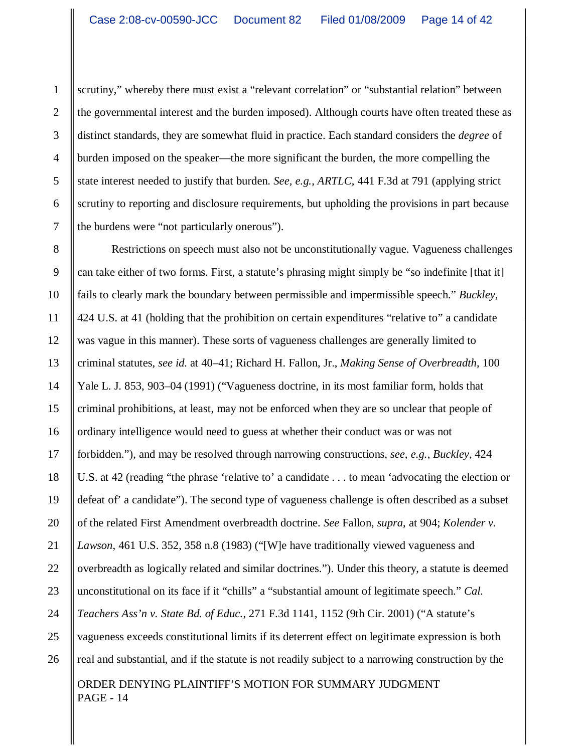1  $\mathfrak{D}$ 3 4 5 6 7 scrutiny," whereby there must exist a "relevant correlation" or "substantial relation" between the governmental interest and the burden imposed). Although courts have often treated these as distinct standards, they are somewhat fluid in practice. Each standard considers the *degree* of burden imposed on the speaker—the more significant the burden, the more compelling the state interest needed to justify that burden. *See, e.g.*, *ARTLC*, 441 F.3d at 791 (applying strict scrutiny to reporting and disclosure requirements, but upholding the provisions in part because the burdens were "not particularly onerous").

ORDER DENYING PLAINTIFF'S MOTION FOR SUMMARY JUDGMENT 8 9 10 11 12 13 14 15 16 17 18 19 20 21 22 23 24 25 26 Restrictions on speech must also not be unconstitutionally vague. Vagueness challenges can take either of two forms. First, a statute's phrasing might simply be "so indefinite [that it] fails to clearly mark the boundary between permissible and impermissible speech." *Buckley*, 424 U.S. at 41 (holding that the prohibition on certain expenditures "relative to" a candidate was vague in this manner). These sorts of vagueness challenges are generally limited to criminal statutes, *see id.* at 40–41; Richard H. Fallon, Jr., *Making Sense of Overbreadth*, 100 Yale L. J. 853, 903–04 (1991) ("Vagueness doctrine, in its most familiar form, holds that criminal prohibitions, at least, may not be enforced when they are so unclear that people of ordinary intelligence would need to guess at whether their conduct was or was not forbidden."), and may be resolved through narrowing constructions, *see, e.g.*, *Buckley*, 424 U.S. at 42 (reading "the phrase 'relative to' a candidate . . . to mean 'advocating the election or defeat of' a candidate"). The second type of vagueness challenge is often described as a subset of the related First Amendment overbreadth doctrine. *See* Fallon, *supra*, at 904; *Kolender v. Lawson*, 461 U.S. 352, 358 n.8 (1983) ("[W]e have traditionally viewed vagueness and overbreadth as logically related and similar doctrines."). Under this theory, a statute is deemed unconstitutional on its face if it "chills" a "substantial amount of legitimate speech." *Cal. Teachers Ass'n v. State Bd. of Educ.*, 271 F.3d 1141, 1152 (9th Cir. 2001) ("A statute's vagueness exceeds constitutional limits if its deterrent effect on legitimate expression is both real and substantial, and if the statute is not readily subject to a narrowing construction by the

PAGE - 14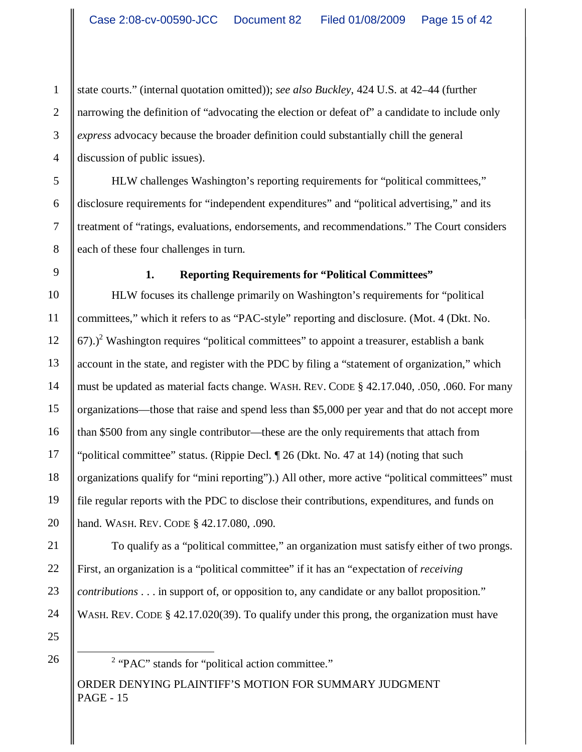state courts." (internal quotation omitted)); *see also Buckley*, 424 U.S. at 42–44 (further narrowing the definition of "advocating the election or defeat of" a candidate to include only *express* advocacy because the broader definition could substantially chill the general discussion of public issues).

HLW challenges Washington's reporting requirements for "political committees," disclosure requirements for "independent expenditures" and "political advertising," and its treatment of "ratings, evaluations, endorsements, and recommendations." The Court considers each of these four challenges in turn.

1

 $\mathfrak{D}$ 

3

4

5

6

7

8

9

### **1. Reporting Requirements for "Political Committees"**

10 11 12 13 14 15 16 17 18 19 20 HLW focuses its challenge primarily on Washington's requirements for "political committees," which it refers to as "PAC-style" reporting and disclosure. (Mot. 4 (Dkt. No. 67).)<sup>2</sup> Washington requires "political committees" to appoint a treasurer, establish a bank account in the state, and register with the PDC by filing a "statement of organization," which must be updated as material facts change. WASH. REV. CODE § 42.17.040, .050, .060. For many organizations—those that raise and spend less than \$5,000 per year and that do not accept more than \$500 from any single contributor—these are the only requirements that attach from "political committee" status. (Rippie Decl. ¶ 26 (Dkt. No. 47 at 14) (noting that such organizations qualify for "mini reporting").) All other, more active "political committees" must file regular reports with the PDC to disclose their contributions, expenditures, and funds on hand. WASH. REV. CODE § 42.17.080, .090.

To qualify as a "political committee," an organization must satisfy either of two prongs. First, an organization is a "political committee" if it has an "expectation of *receiving contributions* . . . in support of, or opposition to, any candidate or any ballot proposition." WASH. REV. CODE § 42.17.020(39). To qualify under this prong, the organization must have

21

22

23

24

 $\overline{\phantom{a}}$  2 <sup>2</sup> "PAC" stands for "political action committee."

ORDER DENYING PLAINTIFF'S MOTION FOR SUMMARY JUDGMENT PAGE - 15

25 26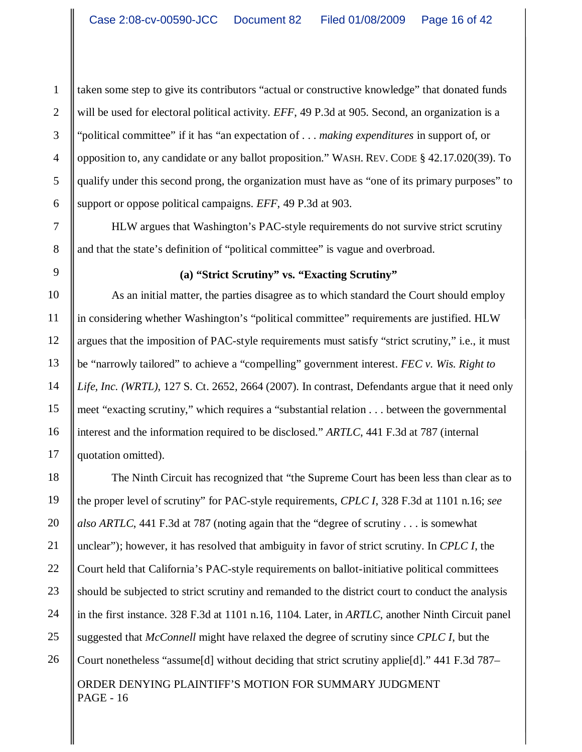taken some step to give its contributors "actual or constructive knowledge" that donated funds will be used for electoral political activity. *EFF*, 49 P.3d at 905. Second, an organization is a "political committee" if it has "an expectation of . . . *making expenditures* in support of, or opposition to, any candidate or any ballot proposition." WASH. REV. CODE § 42.17.020(39). To qualify under this second prong, the organization must have as "one of its primary purposes" to support or oppose political campaigns. *EFF*, 49 P.3d at 903.

HLW argues that Washington's PAC-style requirements do not survive strict scrutiny and that the state's definition of "political committee" is vague and overbroad.

#### **(a) "Strict Scrutiny" vs. "Exacting Scrutiny"**

As an initial matter, the parties disagree as to which standard the Court should employ in considering whether Washington's "political committee" requirements are justified. HLW argues that the imposition of PAC-style requirements must satisfy "strict scrutiny," i.e., it must be "narrowly tailored" to achieve a "compelling" government interest. *FEC v. Wis. Right to Life, Inc. (WRTL)*, 127 S. Ct. 2652, 2664 (2007). In contrast, Defendants argue that it need only meet "exacting scrutiny," which requires a "substantial relation . . . between the governmental interest and the information required to be disclosed." *ARTLC*, 441 F.3d at 787 (internal quotation omitted).

ORDER DENYING PLAINTIFF'S MOTION FOR SUMMARY JUDGMENT PAGE - 16 26 The Ninth Circuit has recognized that "the Supreme Court has been less than clear as to the proper level of scrutiny" for PAC-style requirements, *CPLC I*, 328 F.3d at 1101 n.16; *see also ARTLC*, 441 F.3d at 787 (noting again that the "degree of scrutiny . . . is somewhat unclear"); however, it has resolved that ambiguity in favor of strict scrutiny. In *CPLC I*, the Court held that California's PAC-style requirements on ballot-initiative political committees should be subjected to strict scrutiny and remanded to the district court to conduct the analysis in the first instance. 328 F.3d at 1101 n.16, 1104. Later, in *ARTLC*, another Ninth Circuit panel suggested that *McConnell* might have relaxed the degree of scrutiny since *CPLC I*, but the Court nonetheless "assume[d] without deciding that strict scrutiny applie[d]." 441 F.3d 787–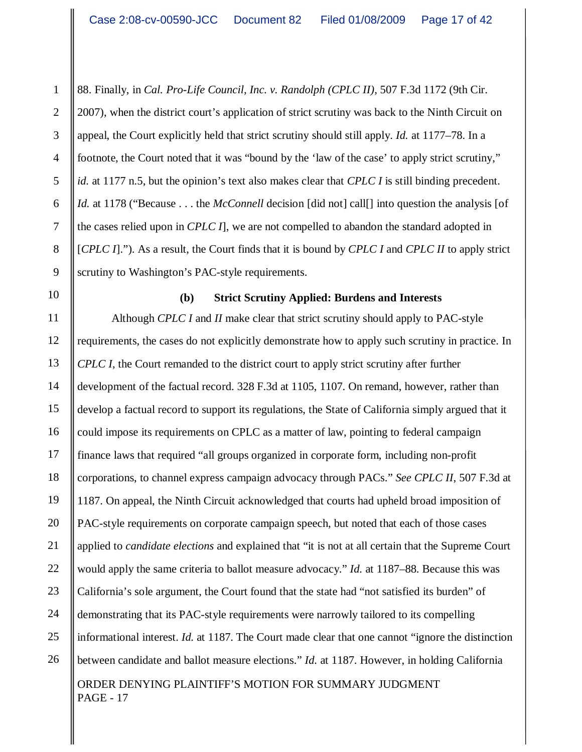1  $\mathfrak{D}$ 3 4 5 6 7 8 9 88. Finally, in *Cal. Pro-Life Council, Inc. v. Randolph (CPLC II)*, 507 F.3d 1172 (9th Cir. 2007), when the district court's application of strict scrutiny was back to the Ninth Circuit on appeal, the Court explicitly held that strict scrutiny should still apply. *Id.* at 1177–78. In a footnote, the Court noted that it was "bound by the 'law of the case' to apply strict scrutiny," *id.* at 1177 n.5, but the opinion's text also makes clear that *CPLC I* is still binding precedent. *Id.* at 1178 ("Because . . . the *McConnell* decision [did not] call [] into question the analysis [of the cases relied upon in *CPLC I*], we are not compelled to abandon the standard adopted in [*CPLC I*]."). As a result, the Court finds that it is bound by *CPLC I* and *CPLC II* to apply strict scrutiny to Washington's PAC-style requirements.

10

#### **(b) Strict Scrutiny Applied: Burdens and Interests**

ORDER DENYING PLAINTIFF'S MOTION FOR SUMMARY JUDGMENT PAGE - 17 11 12 13 14 15 16 17 18 19 20 21 22 23 24 25 26 Although *CPLC I* and *II* make clear that strict scrutiny should apply to PAC-style requirements, the cases do not explicitly demonstrate how to apply such scrutiny in practice. In *CPLC I*, the Court remanded to the district court to apply strict scrutiny after further development of the factual record. 328 F.3d at 1105, 1107. On remand, however, rather than develop a factual record to support its regulations, the State of California simply argued that it could impose its requirements on CPLC as a matter of law, pointing to federal campaign finance laws that required "all groups organized in corporate form, including non-profit corporations, to channel express campaign advocacy through PACs." *See CPLC II*, 507 F.3d at 1187. On appeal, the Ninth Circuit acknowledged that courts had upheld broad imposition of PAC-style requirements on corporate campaign speech, but noted that each of those cases applied to *candidate elections* and explained that "it is not at all certain that the Supreme Court would apply the same criteria to ballot measure advocacy." *Id.* at 1187–88. Because this was California's sole argument, the Court found that the state had "not satisfied its burden" of demonstrating that its PAC-style requirements were narrowly tailored to its compelling informational interest. *Id.* at 1187. The Court made clear that one cannot "ignore the distinction between candidate and ballot measure elections." *Id.* at 1187. However, in holding California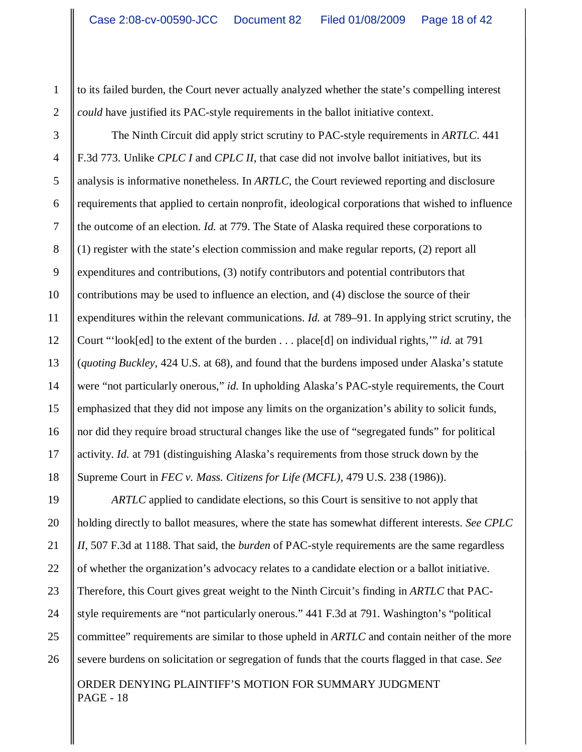to its failed burden, the Court never actually analyzed whether the state's compelling interest *could* have justified its PAC-style requirements in the ballot initiative context.

17 18 The Ninth Circuit did apply strict scrutiny to PAC-style requirements in *ARTLC*. 441 F.3d 773. Unlike *CPLC I* and *CPLC II*, that case did not involve ballot initiatives, but its analysis is informative nonetheless. In *ARTLC*, the Court reviewed reporting and disclosure requirements that applied to certain nonprofit, ideological corporations that wished to influence the outcome of an election. *Id.* at 779. The State of Alaska required these corporations to (1) register with the state's election commission and make regular reports, (2) report all expenditures and contributions, (3) notify contributors and potential contributors that contributions may be used to influence an election, and (4) disclose the source of their expenditures within the relevant communications. *Id.* at 789–91. In applying strict scrutiny, the Court "'look[ed] to the extent of the burden . . . place[d] on individual rights,'" *id.* at 791 (*quoting Buckley*, 424 U.S. at 68), and found that the burdens imposed under Alaska's statute were "not particularly onerous," *id.* In upholding Alaska's PAC-style requirements, the Court emphasized that they did not impose any limits on the organization's ability to solicit funds, nor did they require broad structural changes like the use of "segregated funds" for political activity. *Id.* at 791 (distinguishing Alaska's requirements from those struck down by the Supreme Court in *FEC v. Mass. Citizens for Life (MCFL)*, 479 U.S. 238 (1986)).

ORDER DENYING PLAINTIFF'S MOTION FOR SUMMARY JUDGMENT 19 20 21 22 23 24 25 26 *ARTLC* applied to candidate elections, so this Court is sensitive to not apply that holding directly to ballot measures, where the state has somewhat different interests. *See CPLC II*, 507 F.3d at 1188. That said, the *burden* of PAC-style requirements are the same regardless of whether the organization's advocacy relates to a candidate election or a ballot initiative. Therefore, this Court gives great weight to the Ninth Circuit's finding in *ARTLC* that PACstyle requirements are "not particularly onerous." 441 F.3d at 791. Washington's "political committee" requirements are similar to those upheld in *ARTLC* and contain neither of the more severe burdens on solicitation or segregation of funds that the courts flagged in that case. *See* 

PAGE - 18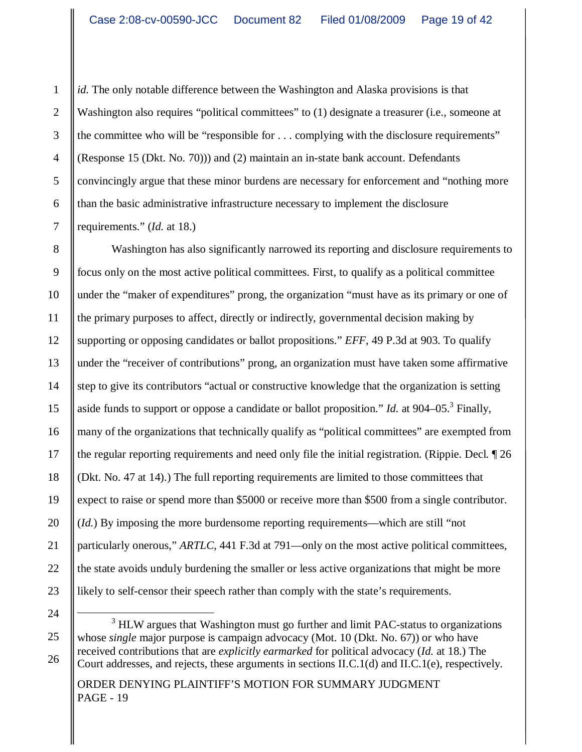*id.* The only notable difference between the Washington and Alaska provisions is that Washington also requires "political committees" to (1) designate a treasurer (i.e., someone at the committee who will be "responsible for . . . complying with the disclosure requirements" (Response 15 (Dkt. No. 70))) and (2) maintain an in-state bank account. Defendants convincingly argue that these minor burdens are necessary for enforcement and "nothing more than the basic administrative infrastructure necessary to implement the disclosure requirements." (*Id.* at 18.)

8 9 10 11 12 13 14 15 16 17 18 19 20 21 22 23 Washington has also significantly narrowed its reporting and disclosure requirements to focus only on the most active political committees. First, to qualify as a political committee under the "maker of expenditures" prong, the organization "must have as its primary or one of the primary purposes to affect, directly or indirectly, governmental decision making by supporting or opposing candidates or ballot propositions." *EFF*, 49 P.3d at 903. To qualify under the "receiver of contributions" prong, an organization must have taken some affirmative step to give its contributors "actual or constructive knowledge that the organization is setting aside funds to support or oppose a candidate or ballot proposition." *Id.* at 904–05.<sup>3</sup> Finally, many of the organizations that technically qualify as "political committees" are exempted from the regular reporting requirements and need only file the initial registration. (Rippie. Decl. ¶ 26 (Dkt. No. 47 at 14).) The full reporting requirements are limited to those committees that expect to raise or spend more than \$5000 or receive more than \$500 from a single contributor. (*Id.*) By imposing the more burdensome reporting requirements—which are still "not particularly onerous," *ARTLC*, 441 F.3d at 791—only on the most active political committees, the state avoids unduly burdening the smaller or less active organizations that might be more likely to self-censor their speech rather than comply with the state's requirements.

24

25

26

1

 $\mathfrak{D}$ 

3

4

5

6

7

 $\frac{1}{3}$  $3$  HLW argues that Washington must go further and limit PAC-status to organizations whose *single* major purpose is campaign advocacy (Mot. 10 (Dkt. No. 67)) or who have received contributions that are *explicitly earmarked* for political advocacy (*Id.* at 18.) The Court addresses, and rejects, these arguments in sections II.C.1(d) and II.C.1(e), respectively.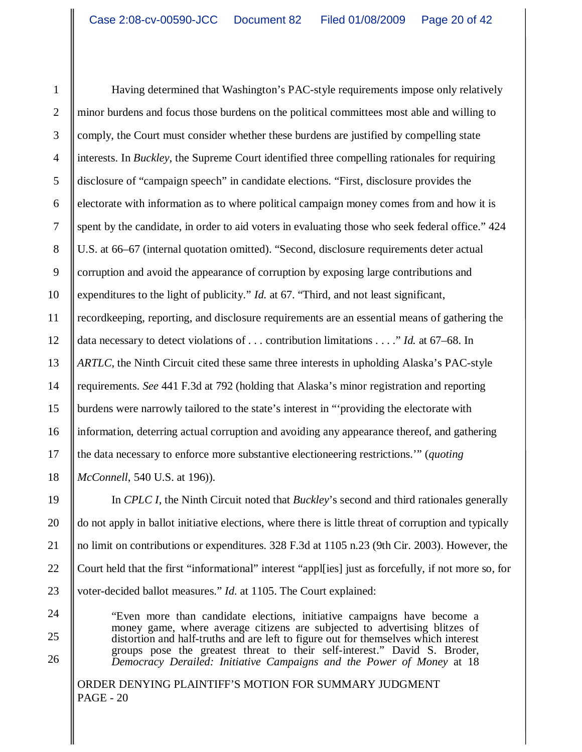1  $\overline{2}$ 3 4 5 6 7 8 9 10 11 12 13 14 15 16 17 18 Having determined that Washington's PAC-style requirements impose only relatively minor burdens and focus those burdens on the political committees most able and willing to comply, the Court must consider whether these burdens are justified by compelling state interests. In *Buckley*, the Supreme Court identified three compelling rationales for requiring disclosure of "campaign speech" in candidate elections. "First, disclosure provides the electorate with information as to where political campaign money comes from and how it is spent by the candidate, in order to aid voters in evaluating those who seek federal office." 424 U.S. at 66–67 (internal quotation omitted). "Second, disclosure requirements deter actual corruption and avoid the appearance of corruption by exposing large contributions and expenditures to the light of publicity." *Id.* at 67. "Third, and not least significant, recordkeeping, reporting, and disclosure requirements are an essential means of gathering the data necessary to detect violations of . . . contribution limitations . . . ." *Id.* at 67–68. In *ARTLC*, the Ninth Circuit cited these same three interests in upholding Alaska's PAC-style requirements. *See* 441 F.3d at 792 (holding that Alaska's minor registration and reporting burdens were narrowly tailored to the state's interest in "'providing the electorate with information, deterring actual corruption and avoiding any appearance thereof, and gathering the data necessary to enforce more substantive electioneering restrictions.'" (*quoting McConnell*, 540 U.S. at 196)).

19 20 21 22 23 In *CPLC I*, the Ninth Circuit noted that *Buckley*'s second and third rationales generally do not apply in ballot initiative elections, where there is little threat of corruption and typically no limit on contributions or expenditures. 328 F.3d at 1105 n.23 (9th Cir. 2003). However, the Court held that the first "informational" interest "appl[ies] just as forcefully, if not more so, for voter-decided ballot measures." *Id.* at 1105. The Court explained:

> "Even more than candidate elections, initiative campaigns have become a money game, where average citizens are subjected to advertising blitzes of distortion and half-truths and are left to figure out for themselves which interest groups pose the greatest threat to their self-interest." David S. Broder, *Democracy Derailed: Initiative Campaigns and the Power of Money* at 18

ORDER DENYING PLAINTIFF'S MOTION FOR SUMMARY JUDGMENT PAGE - 20

24 25

26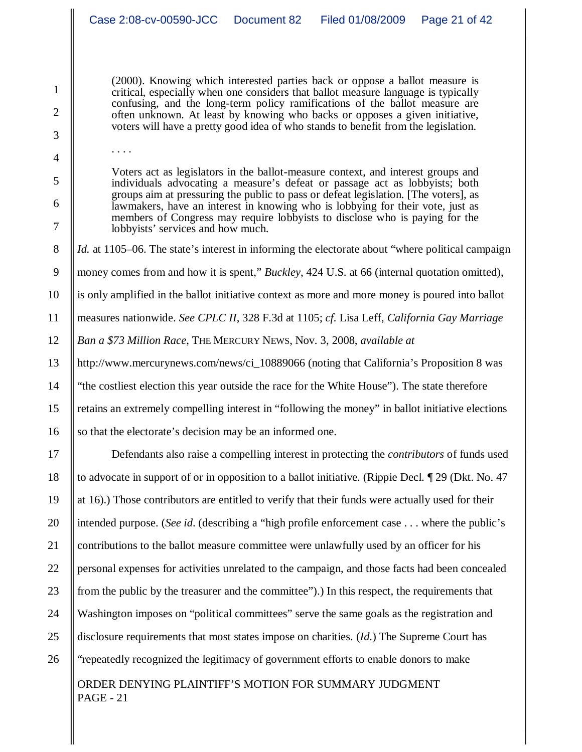(2000). Knowing which interested parties back or oppose a ballot measure is critical, especially when one considers that ballot measure language is typically confusing, and the long-term policy ramifications of the ballot measure are often unknown. At least by knowing who backs or opposes a given initiative, voters will have a pretty good idea of who stands to benefit from the legislation.

Voters act as legislators in the ballot-measure context, and interest groups and individuals advocating a measure's defeat or passage act as lobbyists; both groups aim at pressuring the public to pass or defeat legislation. [The voters], as lawmakers, have an interest in knowing who is lobbying for their vote, just as members of Congress may require lobbyists to disclose who is paying for the lobbyists' services and how much.

8 9 10 11 12 13 14 15 16 *Id.* at 1105–06. The state's interest in informing the electorate about "where political campaign money comes from and how it is spent," *Buckley*, 424 U.S. at 66 (internal quotation omitted), is only amplified in the ballot initiative context as more and more money is poured into ballot measures nationwide. *See CPLC II*, 328 F.3d at 1105; *cf.* Lisa Leff, *California Gay Marriage Ban a \$73 Million Race*, THE MERCURY NEWS, Nov. 3, 2008, *available at* http://www.mercurynews.com/news/ci\_10889066 (noting that California's Proposition 8 was "the costliest election this year outside the race for the White House"). The state therefore retains an extremely compelling interest in "following the money" in ballot initiative elections so that the electorate's decision may be an informed one.

ORDER DENYING PLAINTIFF'S MOTION FOR SUMMARY JUDGMENT 17 18 19 20 21 22 23 24 25 26 Defendants also raise a compelling interest in protecting the *contributors* of funds used to advocate in support of or in opposition to a ballot initiative. (Rippie Decl. ¶ 29 (Dkt. No. 47 at 16).) Those contributors are entitled to verify that their funds were actually used for their intended purpose. (*See id*. (describing a "high profile enforcement case . . . where the public's contributions to the ballot measure committee were unlawfully used by an officer for his personal expenses for activities unrelated to the campaign, and those facts had been concealed from the public by the treasurer and the committee").) In this respect, the requirements that Washington imposes on "political committees" serve the same goals as the registration and disclosure requirements that most states impose on charities. (*Id.*) The Supreme Court has "repeatedly recognized the legitimacy of government efforts to enable donors to make

PAGE - 21

1

 $\mathfrak{D}$ 

3

4

. . . .

5

6

7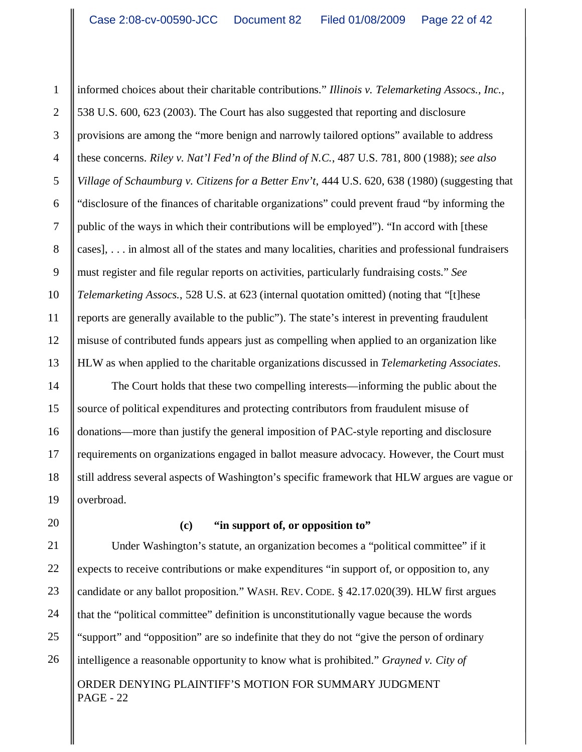1  $\mathfrak{D}$ 3 4 5 6 7 8 9 10 11 12 13 informed choices about their charitable contributions." *Illinois v. Telemarketing Assocs., Inc.*, 538 U.S. 600, 623 (2003). The Court has also suggested that reporting and disclosure provisions are among the "more benign and narrowly tailored options" available to address these concerns. *Riley v. Nat'l Fed'n of the Blind of N.C.*, 487 U.S. 781, 800 (1988); *see also Village of Schaumburg v. Citizens for a Better Env't*, 444 U.S. 620, 638 (1980) (suggesting that "disclosure of the finances of charitable organizations" could prevent fraud "by informing the public of the ways in which their contributions will be employed"). "In accord with [these cases], . . . in almost all of the states and many localities, charities and professional fundraisers must register and file regular reports on activities, particularly fundraising costs." *See Telemarketing Assocs.*, 528 U.S. at 623 (internal quotation omitted) (noting that "[t]hese reports are generally available to the public"). The state's interest in preventing fraudulent misuse of contributed funds appears just as compelling when applied to an organization like HLW as when applied to the charitable organizations discussed in *Telemarketing Associates*.

14 15 16 17 18 19 The Court holds that these two compelling interests—informing the public about the source of political expenditures and protecting contributors from fraudulent misuse of donations—more than justify the general imposition of PAC-style reporting and disclosure requirements on organizations engaged in ballot measure advocacy. However, the Court must still address several aspects of Washington's specific framework that HLW argues are vague or overbroad.

20

#### **(c) "in support of, or opposition to"**

ORDER DENYING PLAINTIFF'S MOTION FOR SUMMARY JUDGMENT PAGE - 22 21 22 23 24 25 26 Under Washington's statute, an organization becomes a "political committee" if it expects to receive contributions or make expenditures "in support of, or opposition to, any candidate or any ballot proposition." WASH. REV. CODE. § 42.17.020(39). HLW first argues that the "political committee" definition is unconstitutionally vague because the words "support" and "opposition" are so indefinite that they do not "give the person of ordinary intelligence a reasonable opportunity to know what is prohibited." *Grayned v. City of*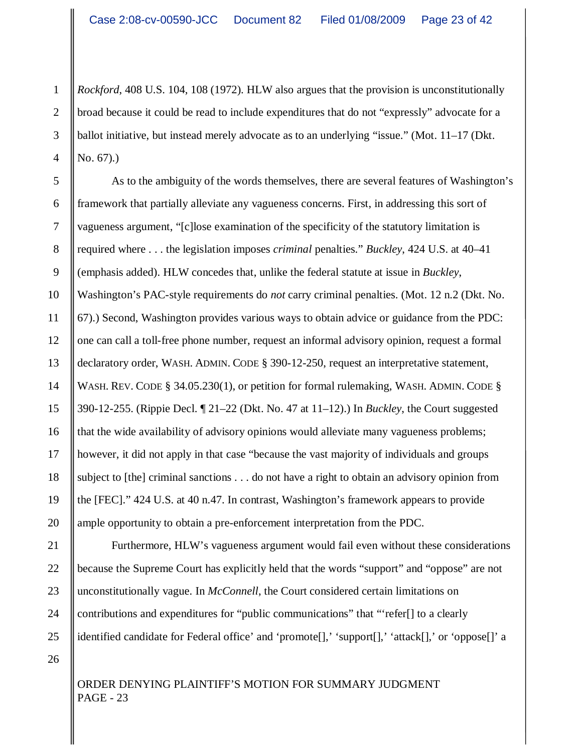*Rockford*, 408 U.S. 104, 108 (1972). HLW also argues that the provision is unconstitutionally broad because it could be read to include expenditures that do not "expressly" advocate for a ballot initiative, but instead merely advocate as to an underlying "issue." (Mot. 11–17 (Dkt. No. 67).)

5 6 7 8 9 12 16 18 19 20 As to the ambiguity of the words themselves, there are several features of Washington's framework that partially alleviate any vagueness concerns. First, in addressing this sort of vagueness argument, "[c]lose examination of the specificity of the statutory limitation is required where . . . the legislation imposes *criminal* penalties." *Buckley*, 424 U.S. at 40–41 (emphasis added). HLW concedes that, unlike the federal statute at issue in *Buckley*, Washington's PAC-style requirements do *not* carry criminal penalties. (Mot. 12 n.2 (Dkt. No. 67).) Second, Washington provides various ways to obtain advice or guidance from the PDC: one can call a toll-free phone number, request an informal advisory opinion, request a formal declaratory order, WASH. ADMIN. CODE § 390-12-250, request an interpretative statement, WASH. REV. CODE § 34.05.230(1), or petition for formal rulemaking, WASH. ADMIN. CODE § 390-12-255. (Rippie Decl. ¶ 21–22 (Dkt. No. 47 at 11–12).) In *Buckley*, the Court suggested that the wide availability of advisory opinions would alleviate many vagueness problems; however, it did not apply in that case "because the vast majority of individuals and groups subject to [the] criminal sanctions . . . do not have a right to obtain an advisory opinion from the [FEC]." 424 U.S. at 40 n.47. In contrast, Washington's framework appears to provide ample opportunity to obtain a pre-enforcement interpretation from the PDC.

21 22 Furthermore, HLW's vagueness argument would fail even without these considerations because the Supreme Court has explicitly held that the words "support" and "oppose" are not unconstitutionally vague. In *McConnell*, the Court considered certain limitations on contributions and expenditures for "public communications" that "'refer[] to a clearly identified candidate for Federal office' and 'promote[],' 'support[],' 'attack[],' or 'oppose[]' a

ORDER DENYING PLAINTIFF'S MOTION FOR SUMMARY JUDGMENT PAGE - 23

1

 $\mathfrak{D}$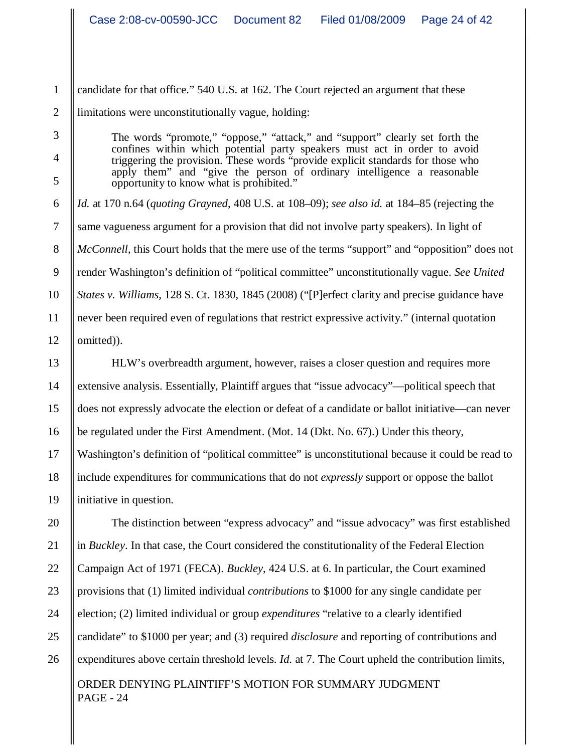candidate for that office." 540 U.S. at 162. The Court rejected an argument that these limitations were unconstitutionally vague, holding:

> The words "promote," "oppose," "attack," and "support" clearly set forth the confines within which potential party speakers must act in order to avoid triggering the provision. These words "provide explicit standards for those who apply them" and "give the person of ordinary intelligence a reasonable opportunity to know what is prohibited."

6 7 8 9 10 11 12 *Id.* at 170 n.64 (*quoting Grayned*, 408 U.S. at 108–09); *see also id.* at 184–85 (rejecting the same vagueness argument for a provision that did not involve party speakers). In light of *McConnell*, this Court holds that the mere use of the terms "support" and "opposition" does not render Washington's definition of "political committee" unconstitutionally vague. *See United States v. Williams*, 128 S. Ct. 1830, 1845 (2008) ("[P]erfect clarity and precise guidance have never been required even of regulations that restrict expressive activity." (internal quotation omitted)).

13 14 15 16 17 18 19 HLW's overbreadth argument, however, raises a closer question and requires more extensive analysis. Essentially, Plaintiff argues that "issue advocacy"—political speech that does not expressly advocate the election or defeat of a candidate or ballot initiative—can never be regulated under the First Amendment. (Mot. 14 (Dkt. No. 67).) Under this theory, Washington's definition of "political committee" is unconstitutional because it could be read to include expenditures for communications that do not *expressly* support or oppose the ballot initiative in question.

ORDER DENYING PLAINTIFF'S MOTION FOR SUMMARY JUDGMENT 20 21 22 23 24 25 26 The distinction between "express advocacy" and "issue advocacy" was first established in *Buckley*. In that case, the Court considered the constitutionality of the Federal Election Campaign Act of 1971 (FECA). *Buckley*, 424 U.S. at 6. In particular, the Court examined provisions that (1) limited individual *contributions* to \$1000 for any single candidate per election; (2) limited individual or group *expenditures* "relative to a clearly identified candidate" to \$1000 per year; and (3) required *disclosure* and reporting of contributions and expenditures above certain threshold levels. *Id.* at 7. The Court upheld the contribution limits,

PAGE - 24

1

 $\mathcal{L}$ 

3

4

5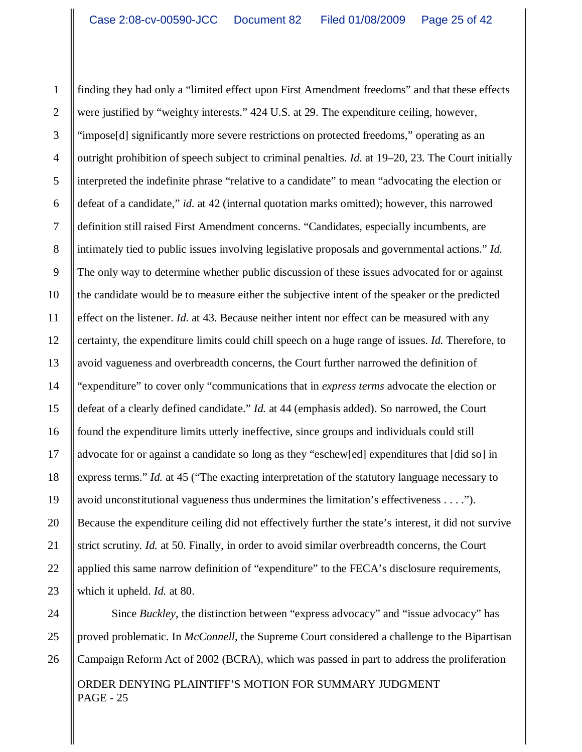1 2 3 4 5 6 7 8 9 10 11 12 13 14 15 16 17 18 19 20 21 22 23 finding they had only a "limited effect upon First Amendment freedoms" and that these effects were justified by "weighty interests." 424 U.S. at 29. The expenditure ceiling, however, "impose[d] significantly more severe restrictions on protected freedoms," operating as an outright prohibition of speech subject to criminal penalties. *Id.* at 19–20, 23. The Court initially interpreted the indefinite phrase "relative to a candidate" to mean "advocating the election or defeat of a candidate," *id.* at 42 (internal quotation marks omitted); however, this narrowed definition still raised First Amendment concerns. "Candidates, especially incumbents, are intimately tied to public issues involving legislative proposals and governmental actions." *Id.* The only way to determine whether public discussion of these issues advocated for or against the candidate would be to measure either the subjective intent of the speaker or the predicted effect on the listener. *Id.* at 43. Because neither intent nor effect can be measured with any certainty, the expenditure limits could chill speech on a huge range of issues. *Id.* Therefore, to avoid vagueness and overbreadth concerns, the Court further narrowed the definition of "expenditure" to cover only "communications that in *express terms* advocate the election or defeat of a clearly defined candidate." *Id.* at 44 (emphasis added). So narrowed, the Court found the expenditure limits utterly ineffective, since groups and individuals could still advocate for or against a candidate so long as they "eschew[ed] expenditures that [did so] in express terms." *Id.* at 45 ("The exacting interpretation of the statutory language necessary to avoid unconstitutional vagueness thus undermines the limitation's effectiveness . . . ."). Because the expenditure ceiling did not effectively further the state's interest, it did not survive strict scrutiny. *Id.* at 50. Finally, in order to avoid similar overbreadth concerns, the Court applied this same narrow definition of "expenditure" to the FECA's disclosure requirements, which it upheld. *Id.* at 80.

ORDER DENYING PLAINTIFF'S MOTION FOR SUMMARY JUDGMENT PAGE - 25 24 25 26 Since *Buckley*, the distinction between "express advocacy" and "issue advocacy" has proved problematic. In *McConnell*, the Supreme Court considered a challenge to the Bipartisan Campaign Reform Act of 2002 (BCRA), which was passed in part to address the proliferation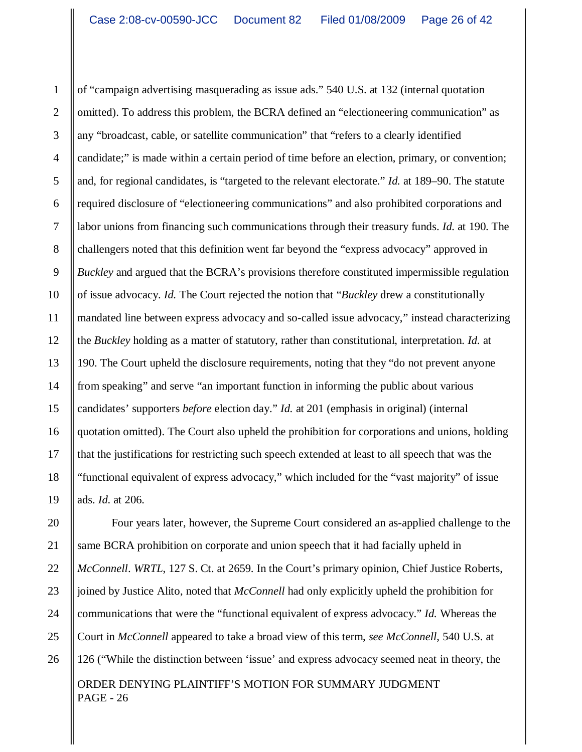1 2 3 4 5 6 7 8 9 10 11 12 13 14 15 16 17 18 19 of "campaign advertising masquerading as issue ads." 540 U.S. at 132 (internal quotation omitted). To address this problem, the BCRA defined an "electioneering communication" as any "broadcast, cable, or satellite communication" that "refers to a clearly identified candidate;" is made within a certain period of time before an election, primary, or convention; and, for regional candidates, is "targeted to the relevant electorate." *Id.* at 189–90. The statute required disclosure of "electioneering communications" and also prohibited corporations and labor unions from financing such communications through their treasury funds. *Id.* at 190. The challengers noted that this definition went far beyond the "express advocacy" approved in *Buckley* and argued that the BCRA's provisions therefore constituted impermissible regulation of issue advocacy. *Id.* The Court rejected the notion that "*Buckley* drew a constitutionally mandated line between express advocacy and so-called issue advocacy," instead characterizing the *Buckley* holding as a matter of statutory, rather than constitutional, interpretation. *Id.* at 190. The Court upheld the disclosure requirements, noting that they "do not prevent anyone from speaking" and serve "an important function in informing the public about various candidates' supporters *before* election day." *Id.* at 201 (emphasis in original) (internal quotation omitted). The Court also upheld the prohibition for corporations and unions, holding that the justifications for restricting such speech extended at least to all speech that was the "functional equivalent of express advocacy," which included for the "vast majority" of issue ads. *Id.* at 206.

ORDER DENYING PLAINTIFF'S MOTION FOR SUMMARY JUDGMENT PAGE - 26 20 21 22 23 24 25 26 Four years later, however, the Supreme Court considered an as-applied challenge to the same BCRA prohibition on corporate and union speech that it had facially upheld in *McConnell*. *WRTL*, 127 S. Ct. at 2659. In the Court's primary opinion, Chief Justice Roberts, joined by Justice Alito, noted that *McConnell* had only explicitly upheld the prohibition for communications that were the "functional equivalent of express advocacy." *Id.* Whereas the Court in *McConnell* appeared to take a broad view of this term, *see McConnell*, 540 U.S. at 126 ("While the distinction between 'issue' and express advocacy seemed neat in theory, the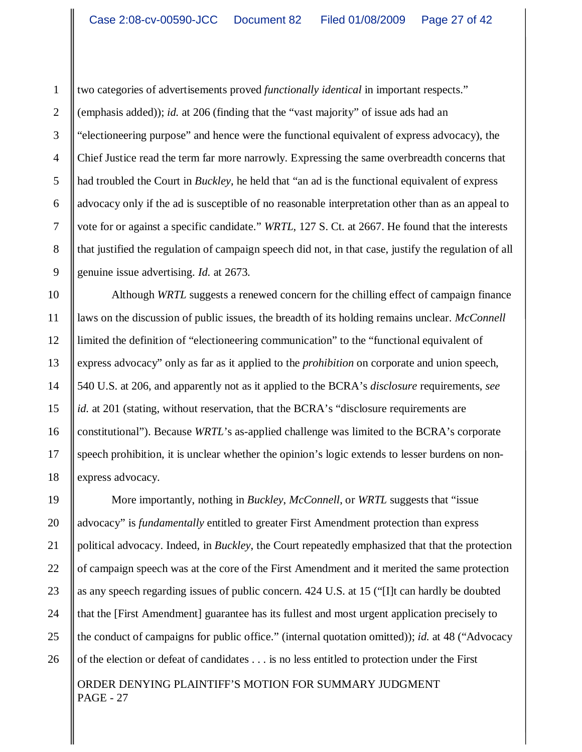1 2 3 4 5 6 7 8 9 two categories of advertisements proved *functionally identical* in important respects." (emphasis added)); *id.* at 206 (finding that the "vast majority" of issue ads had an "electioneering purpose" and hence were the functional equivalent of express advocacy), the Chief Justice read the term far more narrowly. Expressing the same overbreadth concerns that had troubled the Court in *Buckley*, he held that "an ad is the functional equivalent of express advocacy only if the ad is susceptible of no reasonable interpretation other than as an appeal to vote for or against a specific candidate." *WRTL*, 127 S. Ct. at 2667. He found that the interests that justified the regulation of campaign speech did not, in that case, justify the regulation of all genuine issue advertising. *Id.* at 2673.

10 11 12 13 14 15 16 17 18 Although *WRTL* suggests a renewed concern for the chilling effect of campaign finance laws on the discussion of public issues, the breadth of its holding remains unclear. *McConnell* limited the definition of "electioneering communication" to the "functional equivalent of express advocacy" only as far as it applied to the *prohibition* on corporate and union speech, 540 U.S. at 206, and apparently not as it applied to the BCRA's *disclosure* requirements, *see id.* at 201 (stating, without reservation, that the BCRA's "disclosure requirements are constitutional"). Because *WRTL*'s as-applied challenge was limited to the BCRA's corporate speech prohibition, it is unclear whether the opinion's logic extends to lesser burdens on nonexpress advocacy.

19 20 21 22 23 24 25 26 More importantly, nothing in *Buckley*, *McConnell*, or *WRTL* suggests that "issue advocacy" is *fundamentally* entitled to greater First Amendment protection than express political advocacy. Indeed, in *Buckley*, the Court repeatedly emphasized that that the protection of campaign speech was at the core of the First Amendment and it merited the same protection as any speech regarding issues of public concern. 424 U.S. at 15 ("[I]t can hardly be doubted that the [First Amendment] guarantee has its fullest and most urgent application precisely to the conduct of campaigns for public office." (internal quotation omitted)); *id.* at 48 ("Advocacy of the election or defeat of candidates . . . is no less entitled to protection under the First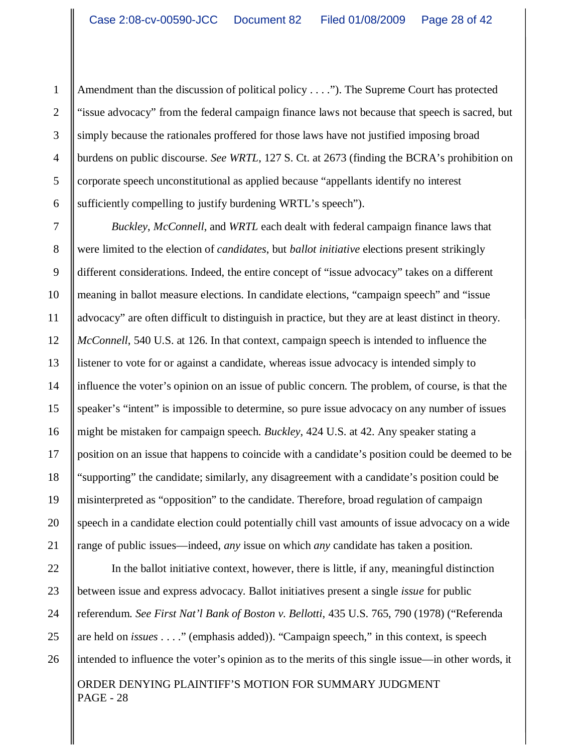1 Amendment than the discussion of political policy . . . ."). The Supreme Court has protected "issue advocacy" from the federal campaign finance laws not because that speech is sacred, but simply because the rationales proffered for those laws have not justified imposing broad burdens on public discourse. *See WRTL*, 127 S. Ct. at 2673 (finding the BCRA's prohibition on corporate speech unconstitutional as applied because "appellants identify no interest sufficiently compelling to justify burdening WRTL's speech").

7 8 9 10 11 12 13 14 15 16 17 18 19 20 21 *Buckley*, *McConnell*, and *WRTL* each dealt with federal campaign finance laws that were limited to the election of *candidates*, but *ballot initiative* elections present strikingly different considerations. Indeed, the entire concept of "issue advocacy" takes on a different meaning in ballot measure elections. In candidate elections, "campaign speech" and "issue advocacy" are often difficult to distinguish in practice, but they are at least distinct in theory. *McConnell*, 540 U.S. at 126. In that context, campaign speech is intended to influence the listener to vote for or against a candidate, whereas issue advocacy is intended simply to influence the voter's opinion on an issue of public concern. The problem, of course, is that the speaker's "intent" is impossible to determine, so pure issue advocacy on any number of issues might be mistaken for campaign speech. *Buckley*, 424 U.S. at 42. Any speaker stating a position on an issue that happens to coincide with a candidate's position could be deemed to be "supporting" the candidate; similarly, any disagreement with a candidate's position could be misinterpreted as "opposition" to the candidate. Therefore, broad regulation of campaign speech in a candidate election could potentially chill vast amounts of issue advocacy on a wide range of public issues—indeed, *any* issue on which *any* candidate has taken a position.

ORDER DENYING PLAINTIFF'S MOTION FOR SUMMARY JUDGMENT PAGE - 28 22 23 24 25 26 In the ballot initiative context, however, there is little, if any, meaningful distinction between issue and express advocacy. Ballot initiatives present a single *issue* for public referendum. *See First Nat'l Bank of Boston v. Bellotti*, 435 U.S. 765, 790 (1978) ("Referenda are held on *issues* . . . ." (emphasis added)). "Campaign speech," in this context, is speech intended to influence the voter's opinion as to the merits of this single issue—in other words, it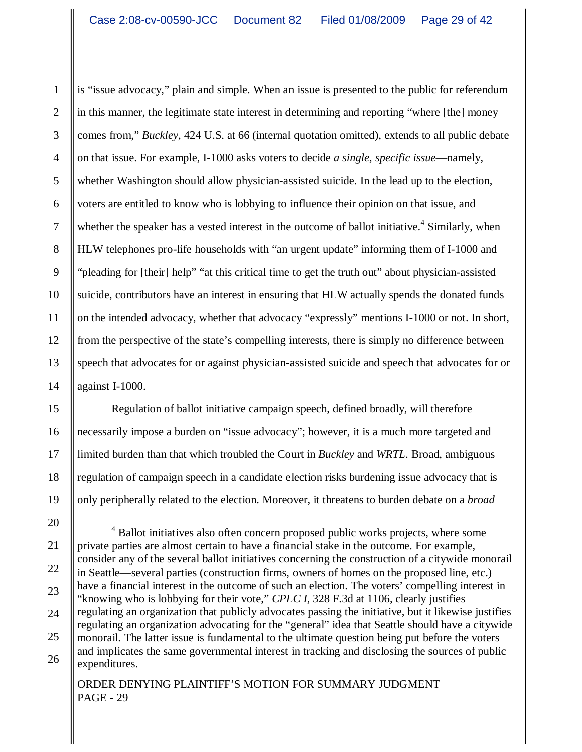1  $\mathfrak{D}$ 3 4 5 6 7 8 9 10 11 12 13 14 is "issue advocacy," plain and simple. When an issue is presented to the public for referendum in this manner, the legitimate state interest in determining and reporting "where [the] money comes from," *Buckley*, 424 U.S. at 66 (internal quotation omitted), extends to all public debate on that issue. For example, I-1000 asks voters to decide *a single, specific issue*—namely, whether Washington should allow physician-assisted suicide. In the lead up to the election, voters are entitled to know who is lobbying to influence their opinion on that issue, and whether the speaker has a vested interest in the outcome of ballot initiative.<sup>4</sup> Similarly, when HLW telephones pro-life households with "an urgent update" informing them of I-1000 and "pleading for [their] help" "at this critical time to get the truth out" about physician-assisted suicide, contributors have an interest in ensuring that HLW actually spends the donated funds on the intended advocacy, whether that advocacy "expressly" mentions I-1000 or not. In short, from the perspective of the state's compelling interests, there is simply no difference between speech that advocates for or against physician-assisted suicide and speech that advocates for or against I-1000.

15 16 17 18 19 Regulation of ballot initiative campaign speech, defined broadly, will therefore necessarily impose a burden on "issue advocacy"; however, it is a much more targeted and limited burden than that which troubled the Court in *Buckley* and *WRTL*. Broad, ambiguous regulation of campaign speech in a candidate election risks burdening issue advocacy that is only peripherally related to the election. Moreover, it threatens to burden debate on a *broad* 

<sup>20</sup>

<sup>21</sup> 22 23 24 25 26  $\overline{\phantom{a}}$ <sup>4</sup> Ballot initiatives also often concern proposed public works projects, where some private parties are almost certain to have a financial stake in the outcome. For example, consider any of the several ballot initiatives concerning the construction of a citywide monorail in Seattle—several parties (construction firms, owners of homes on the proposed line, etc.) have a financial interest in the outcome of such an election. The voters' compelling interest in "knowing who is lobbying for their vote," *CPLC I*, 328 F.3d at 1106, clearly justifies regulating an organization that publicly advocates passing the initiative, but it likewise justifies regulating an organization advocating for the "general" idea that Seattle should have a citywide monorail. The latter issue is fundamental to the ultimate question being put before the voters and implicates the same governmental interest in tracking and disclosing the sources of public expenditures.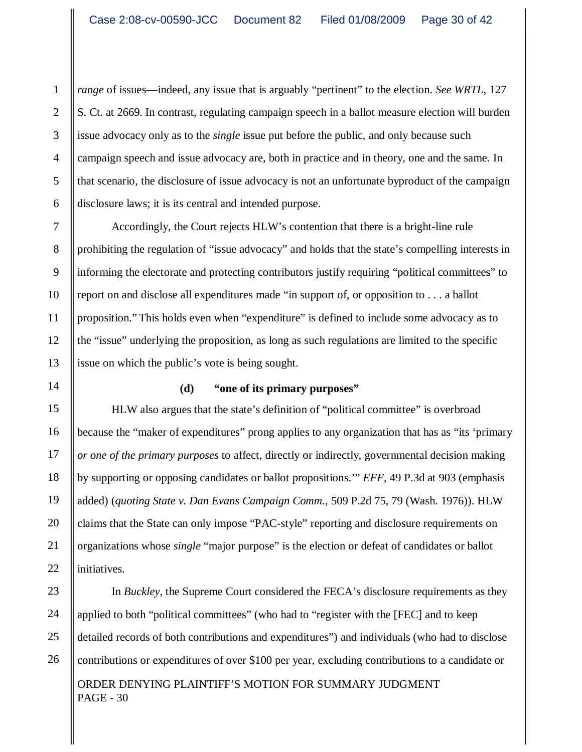*range* of issues—indeed, any issue that is arguably "pertinent" to the election. *See WRTL*, 127 S. Ct. at 2669. In contrast, regulating campaign speech in a ballot measure election will burden issue advocacy only as to the *single* issue put before the public, and only because such campaign speech and issue advocacy are, both in practice and in theory, one and the same. In that scenario, the disclosure of issue advocacy is not an unfortunate byproduct of the campaign disclosure laws; it is its central and intended purpose.

7 8 9 10 11 12 13 Accordingly, the Court rejects HLW's contention that there is a bright-line rule prohibiting the regulation of "issue advocacy" and holds that the state's compelling interests in informing the electorate and protecting contributors justify requiring "political committees" to report on and disclose all expenditures made "in support of, or opposition to . . . a ballot proposition." This holds even when "expenditure" is defined to include some advocacy as to the "issue" underlying the proposition, as long as such regulations are limited to the specific issue on which the public's vote is being sought.

# 14

1

2

3

4

5

6

#### **(d) "one of its primary purposes"**

15 16 17 18 19 20 21 22 HLW also argues that the state's definition of "political committee" is overbroad because the "maker of expenditures" prong applies to any organization that has as "its 'primary *or one of the primary purposes* to affect, directly or indirectly, governmental decision making by supporting or opposing candidates or ballot propositions.'" *EFF*, 49 P.3d at 903 (emphasis added) (*quoting State v. Dan Evans Campaign Comm.*, 509 P.2d 75, 79 (Wash. 1976)). HLW claims that the State can only impose "PAC-style" reporting and disclosure requirements on organizations whose *single* "major purpose" is the election or defeat of candidates or ballot initiatives.

ORDER DENYING PLAINTIFF'S MOTION FOR SUMMARY JUDGMENT PAGE - 30 23 24 25 26 In *Buckley*, the Supreme Court considered the FECA's disclosure requirements as they applied to both "political committees" (who had to "register with the [FEC] and to keep detailed records of both contributions and expenditures") and individuals (who had to disclose contributions or expenditures of over \$100 per year, excluding contributions to a candidate or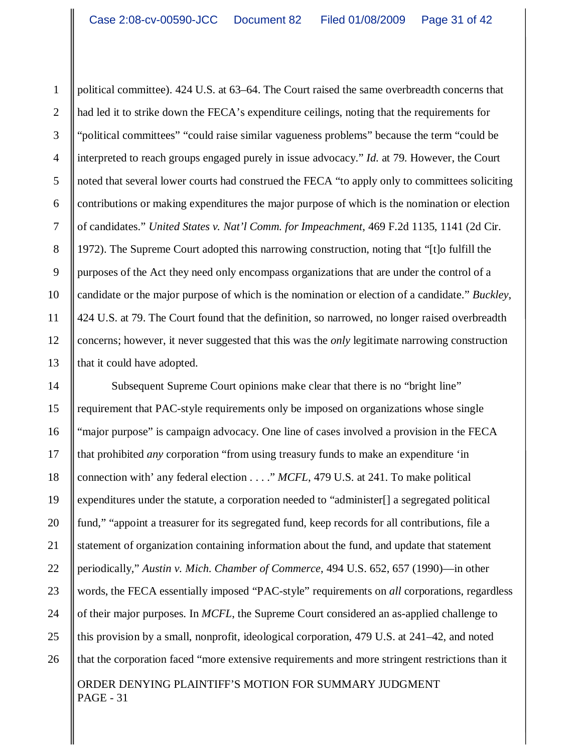1 2 3 4 5 6 7 8 9 10 11 12 13 political committee). 424 U.S. at 63–64. The Court raised the same overbreadth concerns that had led it to strike down the FECA's expenditure ceilings, noting that the requirements for "political committees" "could raise similar vagueness problems" because the term "could be interpreted to reach groups engaged purely in issue advocacy." *Id.* at 79. However, the Court noted that several lower courts had construed the FECA "to apply only to committees soliciting contributions or making expenditures the major purpose of which is the nomination or election of candidates." *United States v. Nat'l Comm. for Impeachment*, 469 F.2d 1135, 1141 (2d Cir. 1972). The Supreme Court adopted this narrowing construction, noting that "[t]o fulfill the purposes of the Act they need only encompass organizations that are under the control of a candidate or the major purpose of which is the nomination or election of a candidate." *Buckley*, 424 U.S. at 79. The Court found that the definition, so narrowed, no longer raised overbreadth concerns; however, it never suggested that this was the *only* legitimate narrowing construction that it could have adopted.

ORDER DENYING PLAINTIFF'S MOTION FOR SUMMARY JUDGMENT PAGE - 31 14 15 16 17 18 19 20 21 22 23 24 25 26 Subsequent Supreme Court opinions make clear that there is no "bright line" requirement that PAC-style requirements only be imposed on organizations whose single "major purpose" is campaign advocacy. One line of cases involved a provision in the FECA that prohibited *any* corporation "from using treasury funds to make an expenditure 'in connection with' any federal election . . . ." *MCFL*, 479 U.S. at 241. To make political expenditures under the statute, a corporation needed to "administer[] a segregated political fund," "appoint a treasurer for its segregated fund, keep records for all contributions, file a statement of organization containing information about the fund, and update that statement periodically," *Austin v. Mich. Chamber of Commerce*, 494 U.S. 652, 657 (1990)—in other words, the FECA essentially imposed "PAC-style" requirements on *all* corporations, regardless of their major purposes. In *MCFL*, the Supreme Court considered an as-applied challenge to this provision by a small, nonprofit, ideological corporation, 479 U.S. at 241–42, and noted that the corporation faced "more extensive requirements and more stringent restrictions than it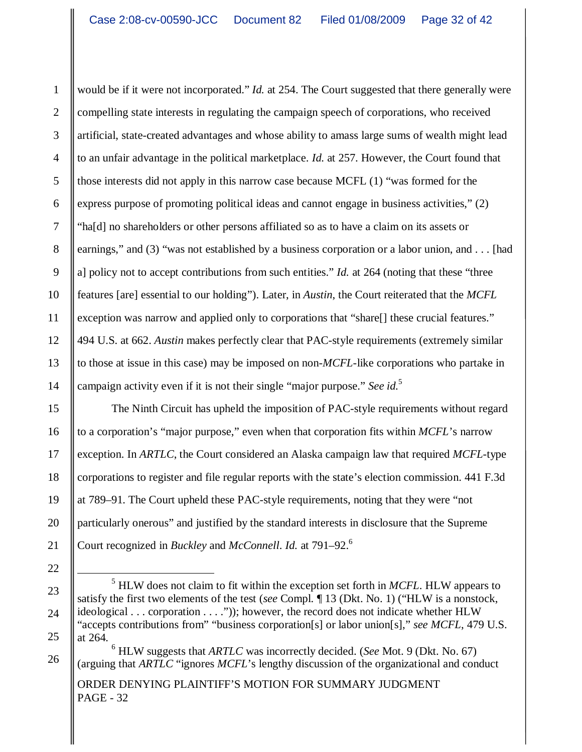1  $\mathfrak{D}$ 3 4 5 6 7 8 9 10 11 12 13 14 would be if it were not incorporated." *Id.* at 254. The Court suggested that there generally were compelling state interests in regulating the campaign speech of corporations, who received artificial, state-created advantages and whose ability to amass large sums of wealth might lead to an unfair advantage in the political marketplace. *Id.* at 257. However, the Court found that those interests did not apply in this narrow case because MCFL (1) "was formed for the express purpose of promoting political ideas and cannot engage in business activities," (2) "ha[d] no shareholders or other persons affiliated so as to have a claim on its assets or earnings," and (3) "was not established by a business corporation or a labor union, and . . . [had a] policy not to accept contributions from such entities." *Id.* at 264 (noting that these "three features [are] essential to our holding"). Later, in *Austin*, the Court reiterated that the *MCFL* exception was narrow and applied only to corporations that "share<sup>[]</sup> these crucial features." 494 U.S. at 662. *Austin* makes perfectly clear that PAC-style requirements (extremely similar to those at issue in this case) may be imposed on non-*MCFL*-like corporations who partake in campaign activity even if it is not their single "major purpose." *See id.*<sup>5</sup>

15 16 17 18 19 20 21 The Ninth Circuit has upheld the imposition of PAC-style requirements without regard to a corporation's "major purpose," even when that corporation fits within *MCFL*'s narrow exception. In *ARTLC*, the Court considered an Alaska campaign law that required *MCFL*-type corporations to register and file regular reports with the state's election commission. 441 F.3d at 789–91. The Court upheld these PAC-style requirements, noting that they were "not particularly onerous" and justified by the standard interests in disclosure that the Supreme Court recognized in *Buckley* and *McConnell*. *Id.* at 791–92.6

- 22
- 23
- 24

25

26

 $rac{1}{5}$ <sup>5</sup> HLW does not claim to fit within the exception set forth in *MCFL*. HLW appears to satisfy the first two elements of the test (*see* Compl. ¶ 13 (Dkt. No. 1) ("HLW is a nonstock, ideological . . . corporation . . . .")); however, the record does not indicate whether HLW "accepts contributions from" "business corporation[s] or labor union[s]," *see MCFL*, 479 U.S. at 264.

<sup>6</sup> HLW suggests that *ARTLC* was incorrectly decided. (*See* Mot. 9 (Dkt. No. 67) (arguing that *ARTLC* "ignores *MCFL*'s lengthy discussion of the organizational and conduct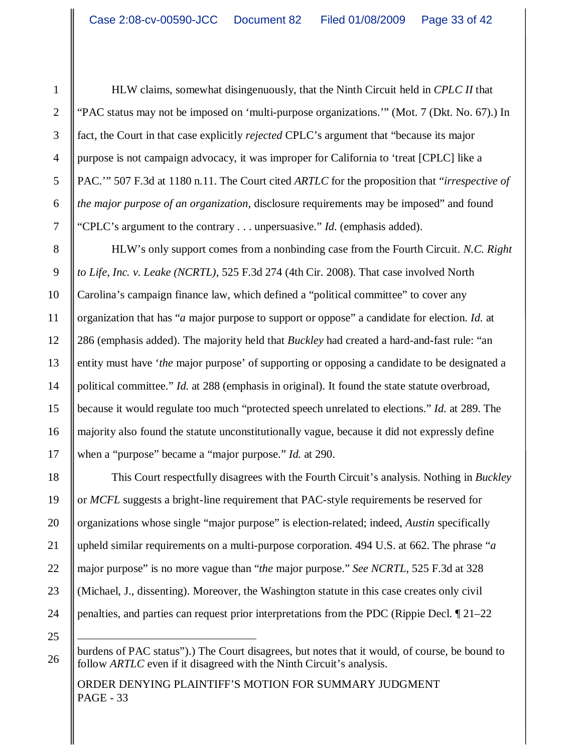HLW claims, somewhat disingenuously, that the Ninth Circuit held in *CPLC II* that "PAC status may not be imposed on 'multi-purpose organizations.'" (Mot. 7 (Dkt. No. 67).) In fact, the Court in that case explicitly *rejected* CPLC's argument that "because its major purpose is not campaign advocacy, it was improper for California to 'treat [CPLC] like a PAC.'" 507 F.3d at 1180 n.11. The Court cited *ARTLC* for the proposition that "*irrespective of the major purpose of an organization*, disclosure requirements may be imposed" and found "CPLC's argument to the contrary . . . unpersuasive." *Id.* (emphasis added).

8 9 10 11 12 13 14 15 16 17 HLW's only support comes from a nonbinding case from the Fourth Circuit. *N.C. Right to Life, Inc. v. Leake (NCRTL)*, 525 F.3d 274 (4th Cir. 2008). That case involved North Carolina's campaign finance law, which defined a "political committee" to cover any organization that has "*a* major purpose to support or oppose" a candidate for election. *Id.* at 286 (emphasis added). The majority held that *Buckley* had created a hard-and-fast rule: "an entity must have '*the* major purpose' of supporting or opposing a candidate to be designated a political committee." *Id.* at 288 (emphasis in original). It found the state statute overbroad, because it would regulate too much "protected speech unrelated to elections." *Id.* at 289. The majority also found the statute unconstitutionally vague, because it did not expressly define when a "purpose" became a "major purpose." *Id.* at 290.

18 19 20 21 22 23 24 This Court respectfully disagrees with the Fourth Circuit's analysis. Nothing in *Buckley* or *MCFL* suggests a bright-line requirement that PAC-style requirements be reserved for organizations whose single "major purpose" is election-related; indeed, *Austin* specifically upheld similar requirements on a multi-purpose corporation. 494 U.S. at 662. The phrase "*a* major purpose" is no more vague than "*the* major purpose." *See NCRTL*, 525 F.3d at 328 (Michael, J., dissenting). Moreover, the Washington statute in this case creates only civil penalties, and parties can request prior interpretations from the PDC (Rippie Decl. ¶ 21–22

25

 $\overline{a}$ 

26

1

2

3

4

5

6

7

burdens of PAC status").) The Court disagrees, but notes that it would, of course, be bound to follow *ARTLC* even if it disagreed with the Ninth Circuit's analysis.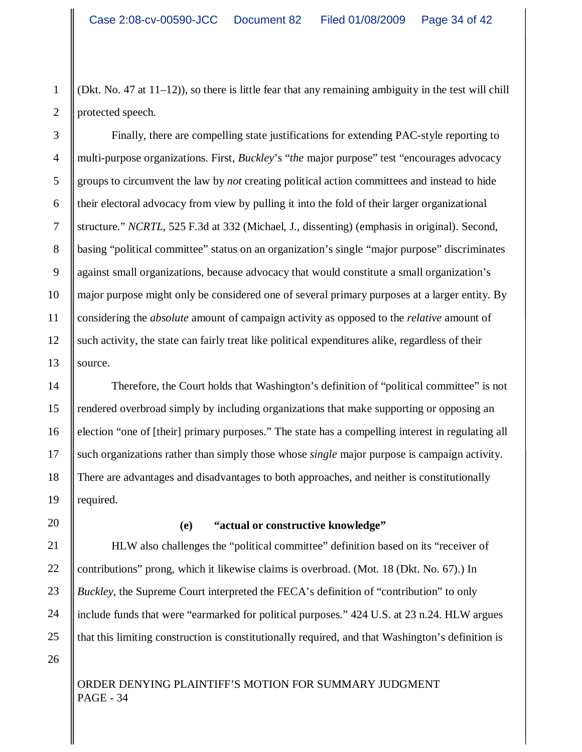(Dkt. No. 47 at  $11-12$ ), so there is little fear that any remaining ambiguity in the test will chill protected speech.

3 4 5 6 7 8 9 10 11 12 13 Finally, there are compelling state justifications for extending PAC-style reporting to multi-purpose organizations. First, *Buckley*'s "*the* major purpose" test "encourages advocacy groups to circumvent the law by *not* creating political action committees and instead to hide their electoral advocacy from view by pulling it into the fold of their larger organizational structure." *NCRTL*, 525 F.3d at 332 (Michael, J., dissenting) (emphasis in original). Second, basing "political committee" status on an organization's single "major purpose" discriminates against small organizations, because advocacy that would constitute a small organization's major purpose might only be considered one of several primary purposes at a larger entity. By considering the *absolute* amount of campaign activity as opposed to the *relative* amount of such activity, the state can fairly treat like political expenditures alike, regardless of their source.

14 15 16 17 18 19 Therefore, the Court holds that Washington's definition of "political committee" is not rendered overbroad simply by including organizations that make supporting or opposing an election "one of [their] primary purposes." The state has a compelling interest in regulating all such organizations rather than simply those whose *single* major purpose is campaign activity. There are advantages and disadvantages to both approaches, and neither is constitutionally required.

20

21

22

23

24

25

26

1

2

#### **(e) "actual or constructive knowledge"**

HLW also challenges the "political committee" definition based on its "receiver of contributions" prong, which it likewise claims is overbroad. (Mot. 18 (Dkt. No. 67).) In *Buckley*, the Supreme Court interpreted the FECA's definition of "contribution" to only include funds that were "earmarked for political purposes." 424 U.S. at 23 n.24. HLW argues that this limiting construction is constitutionally required, and that Washington's definition is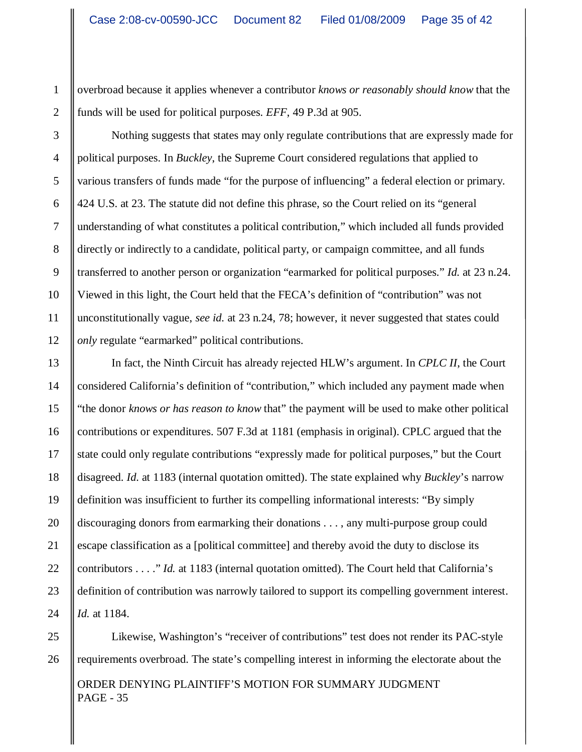overbroad because it applies whenever a contributor *knows or reasonably should know* that the funds will be used for political purposes. *EFF*, 49 P.3d at 905.

1

2

3

4

5

6

7

8

9

10

11

12 Nothing suggests that states may only regulate contributions that are expressly made for political purposes. In *Buckley*, the Supreme Court considered regulations that applied to various transfers of funds made "for the purpose of influencing" a federal election or primary. 424 U.S. at 23. The statute did not define this phrase, so the Court relied on its "general understanding of what constitutes a political contribution," which included all funds provided directly or indirectly to a candidate, political party, or campaign committee, and all funds transferred to another person or organization "earmarked for political purposes." *Id.* at 23 n.24. Viewed in this light, the Court held that the FECA's definition of "contribution" was not unconstitutionally vague, *see id.* at 23 n.24, 78; however, it never suggested that states could *only* regulate "earmarked" political contributions.

13 14 15 16 17 18 19 20 21 22 23 24 In fact, the Ninth Circuit has already rejected HLW's argument. In *CPLC II*, the Court considered California's definition of "contribution," which included any payment made when "the donor *knows or has reason to know* that" the payment will be used to make other political contributions or expenditures. 507 F.3d at 1181 (emphasis in original). CPLC argued that the state could only regulate contributions "expressly made for political purposes," but the Court disagreed. *Id.* at 1183 (internal quotation omitted). The state explained why *Buckley*'s narrow definition was insufficient to further its compelling informational interests: "By simply discouraging donors from earmarking their donations . . . , any multi-purpose group could escape classification as a [political committee] and thereby avoid the duty to disclose its contributors . . . ." *Id.* at 1183 (internal quotation omitted). The Court held that California's definition of contribution was narrowly tailored to support its compelling government interest. *Id.* at 1184.

ORDER DENYING PLAINTIFF'S MOTION FOR SUMMARY JUDGMENT PAGE - 35 25 26 Likewise, Washington's "receiver of contributions" test does not render its PAC-style requirements overbroad. The state's compelling interest in informing the electorate about the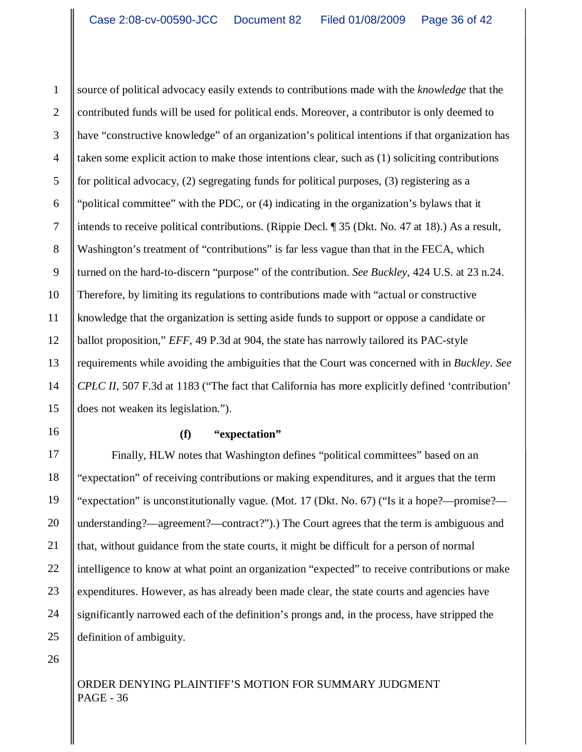1 2 3 4 5 6 7 8 9 10 11 12 13 14 15 source of political advocacy easily extends to contributions made with the *knowledge* that the contributed funds will be used for political ends. Moreover, a contributor is only deemed to have "constructive knowledge" of an organization's political intentions if that organization has taken some explicit action to make those intentions clear, such as (1) soliciting contributions for political advocacy, (2) segregating funds for political purposes, (3) registering as a "political committee" with the PDC, or (4) indicating in the organization's bylaws that it intends to receive political contributions. (Rippie Decl. ¶ 35 (Dkt. No. 47 at 18).) As a result, Washington's treatment of "contributions" is far less vague than that in the FECA, which turned on the hard-to-discern "purpose" of the contribution. *See Buckley*, 424 U.S. at 23 n.24. Therefore, by limiting its regulations to contributions made with "actual or constructive knowledge that the organization is setting aside funds to support or oppose a candidate or ballot proposition," *EFF*, 49 P.3d at 904, the state has narrowly tailored its PAC-style requirements while avoiding the ambiguities that the Court was concerned with in *Buckley*. *See CPLC II*, 507 F.3d at 1183 ("The fact that California has more explicitly defined 'contribution' does not weaken its legislation.").

# 16

### **(f) "expectation"**

17 18 19 20 21 22 23 24 25 Finally, HLW notes that Washington defines "political committees" based on an "expectation" of receiving contributions or making expenditures, and it argues that the term "expectation" is unconstitutionally vague. (Mot. 17 (Dkt. No. 67) ("Is it a hope?—promise? understanding?—agreement?—contract?").) The Court agrees that the term is ambiguous and that, without guidance from the state courts, it might be difficult for a person of normal intelligence to know at what point an organization "expected" to receive contributions or make expenditures. However, as has already been made clear, the state courts and agencies have significantly narrowed each of the definition's prongs and, in the process, have stripped the definition of ambiguity.

26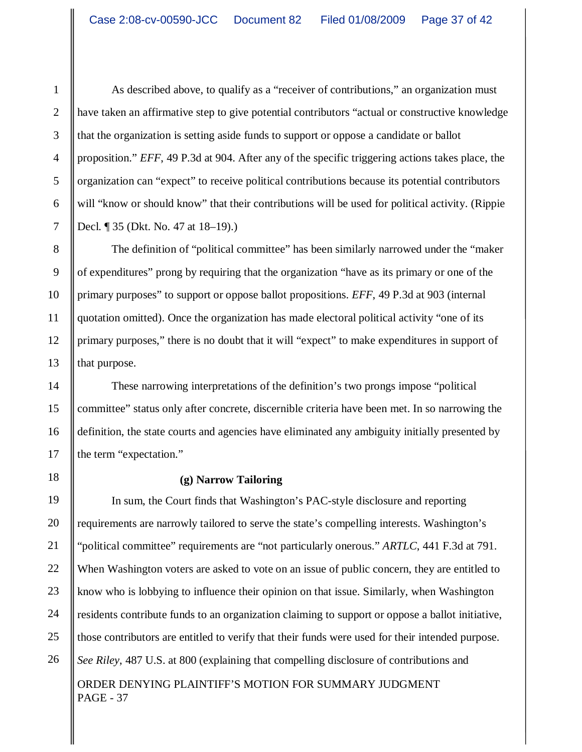As described above, to qualify as a "receiver of contributions," an organization must have taken an affirmative step to give potential contributors "actual or constructive knowledge that the organization is setting aside funds to support or oppose a candidate or ballot proposition." *EFF*, 49 P.3d at 904. After any of the specific triggering actions takes place, the organization can "expect" to receive political contributions because its potential contributors will "know or should know" that their contributions will be used for political activity. (Rippie Decl. ¶ 35 (Dkt. No. 47 at 18–19).)

8 9 10 11 12 13 The definition of "political committee" has been similarly narrowed under the "maker of expenditures" prong by requiring that the organization "have as its primary or one of the primary purposes" to support or oppose ballot propositions. *EFF*, 49 P.3d at 903 (internal quotation omitted). Once the organization has made electoral political activity "one of its primary purposes," there is no doubt that it will "expect" to make expenditures in support of that purpose.

14 15 16 17 These narrowing interpretations of the definition's two prongs impose "political committee" status only after concrete, discernible criteria have been met. In so narrowing the definition, the state courts and agencies have eliminated any ambiguity initially presented by the term "expectation."

18

1

2

3

4

5

6

7

#### **(g) Narrow Tailoring**

ORDER DENYING PLAINTIFF'S MOTION FOR SUMMARY JUDGMENT PAGE - 37 19 20 21 22 23 24 25 26 In sum, the Court finds that Washington's PAC-style disclosure and reporting requirements are narrowly tailored to serve the state's compelling interests. Washington's "political committee" requirements are "not particularly onerous." *ARTLC*, 441 F.3d at 791. When Washington voters are asked to vote on an issue of public concern, they are entitled to know who is lobbying to influence their opinion on that issue. Similarly, when Washington residents contribute funds to an organization claiming to support or oppose a ballot initiative, those contributors are entitled to verify that their funds were used for their intended purpose. *See Riley*, 487 U.S. at 800 (explaining that compelling disclosure of contributions and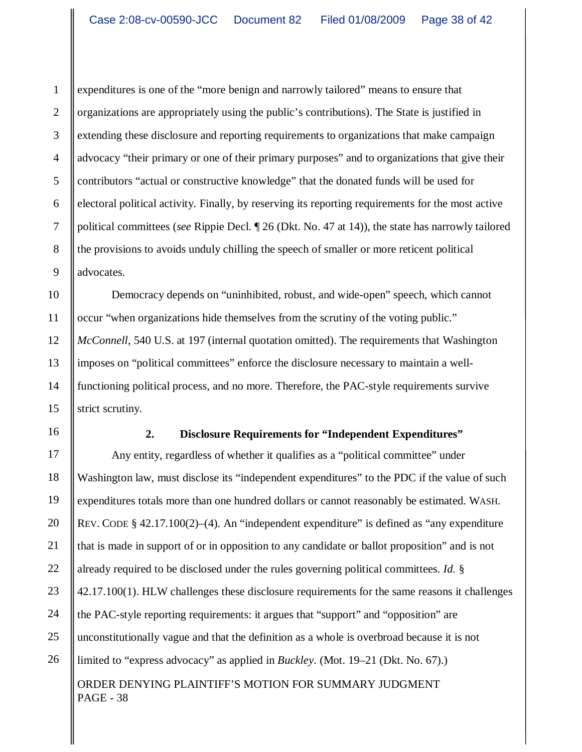1  $\mathfrak{D}$ 3 4 5 6 7 8 9 expenditures is one of the "more benign and narrowly tailored" means to ensure that organizations are appropriately using the public's contributions). The State is justified in extending these disclosure and reporting requirements to organizations that make campaign advocacy "their primary or one of their primary purposes" and to organizations that give their contributors "actual or constructive knowledge" that the donated funds will be used for electoral political activity. Finally, by reserving its reporting requirements for the most active political committees (*see* Rippie Decl. ¶ 26 (Dkt. No. 47 at 14)), the state has narrowly tailored the provisions to avoids unduly chilling the speech of smaller or more reticent political advocates.

10 11 12 13 14 15 Democracy depends on "uninhibited, robust, and wide-open" speech, which cannot occur "when organizations hide themselves from the scrutiny of the voting public." *McConnell*, 540 U.S. at 197 (internal quotation omitted). The requirements that Washington imposes on "political committees" enforce the disclosure necessary to maintain a wellfunctioning political process, and no more. Therefore, the PAC-style requirements survive strict scrutiny.

16

#### **2. Disclosure Requirements for "Independent Expenditures"**

ORDER DENYING PLAINTIFF'S MOTION FOR SUMMARY JUDGMENT PAGE - 38 17 18 19 20 21 22 23 24 25 26 Any entity, regardless of whether it qualifies as a "political committee" under Washington law, must disclose its "independent expenditures" to the PDC if the value of such expenditures totals more than one hundred dollars or cannot reasonably be estimated. WASH. REV. CODE  $\S 42.17.100(2)$ –(4). An "independent expenditure" is defined as "any expenditure" that is made in support of or in opposition to any candidate or ballot proposition" and is not already required to be disclosed under the rules governing political committees. *Id.* § 42.17.100(1). HLW challenges these disclosure requirements for the same reasons it challenges the PAC-style reporting requirements: it argues that "support" and "opposition" are unconstitutionally vague and that the definition as a whole is overbroad because it is not limited to "express advocacy" as applied in *Buckley*. (Mot. 19–21 (Dkt. No. 67).)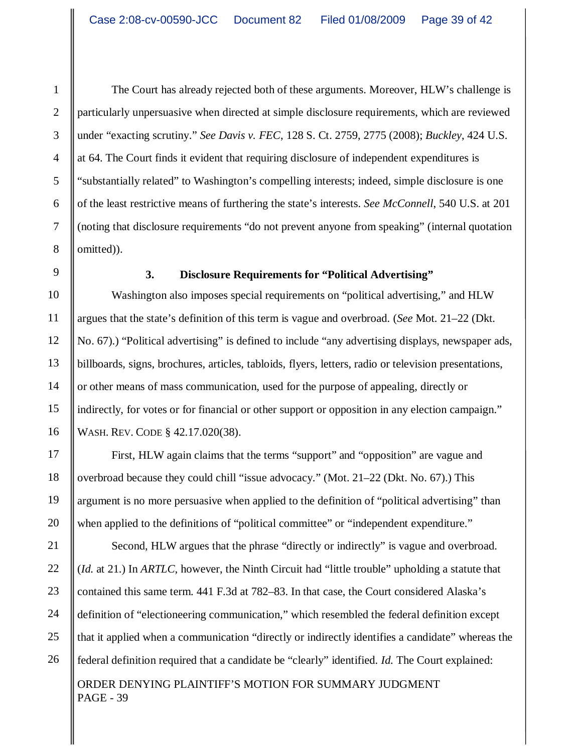The Court has already rejected both of these arguments. Moreover, HLW's challenge is particularly unpersuasive when directed at simple disclosure requirements, which are reviewed under "exacting scrutiny." *See Davis v. FEC*, 128 S. Ct. 2759, 2775 (2008); *Buckley*, 424 U.S. at 64. The Court finds it evident that requiring disclosure of independent expenditures is "substantially related" to Washington's compelling interests; indeed, simple disclosure is one of the least restrictive means of furthering the state's interests. *See McConnell*, 540 U.S. at 201 (noting that disclosure requirements "do not prevent anyone from speaking" (internal quotation omitted)).

1

2

3

4

5

6

7

8

9

17

21

### **3. Disclosure Requirements for "Political Advertising"**

10 11 12 13 14 15 16 Washington also imposes special requirements on "political advertising," and HLW argues that the state's definition of this term is vague and overbroad. (*See* Mot. 21–22 (Dkt. No. 67).) "Political advertising" is defined to include "any advertising displays, newspaper ads, billboards, signs, brochures, articles, tabloids, flyers, letters, radio or television presentations, or other means of mass communication, used for the purpose of appealing, directly or indirectly, for votes or for financial or other support or opposition in any election campaign." WASH. REV. CODE § 42.17.020(38).

18 19 20 First, HLW again claims that the terms "support" and "opposition" are vague and overbroad because they could chill "issue advocacy." (Mot. 21–22 (Dkt. No. 67).) This argument is no more persuasive when applied to the definition of "political advertising" than when applied to the definitions of "political committee" or "independent expenditure."

ORDER DENYING PLAINTIFF'S MOTION FOR SUMMARY JUDGMENT 22 23 24 25 26 Second, HLW argues that the phrase "directly or indirectly" is vague and overbroad. (*Id.* at 21.) In *ARTLC*, however, the Ninth Circuit had "little trouble" upholding a statute that contained this same term. 441 F.3d at 782–83. In that case, the Court considered Alaska's definition of "electioneering communication," which resembled the federal definition except that it applied when a communication "directly or indirectly identifies a candidate" whereas the federal definition required that a candidate be "clearly" identified. *Id.* The Court explained:

PAGE - 39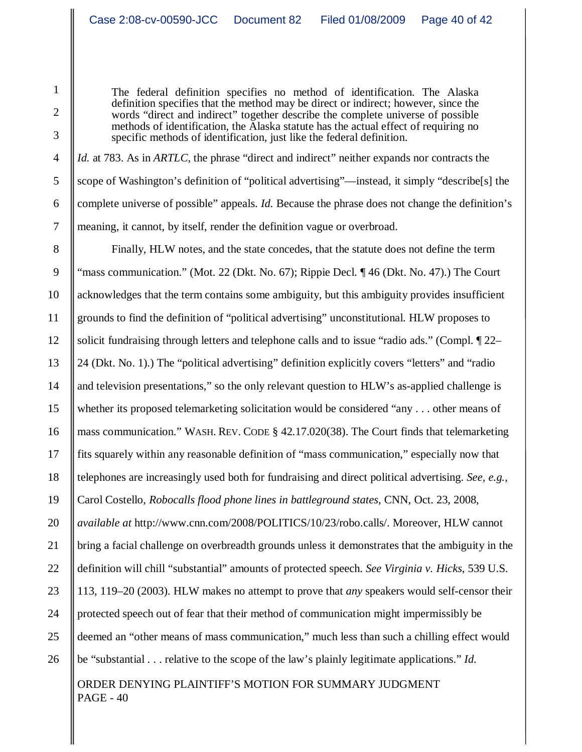The federal definition specifies no method of identification. The Alaska definition specifies that the method may be direct or indirect; however, since the words "direct and indirect" together describe the complete universe of possible methods of identification, the Alaska statute has the actual effect of requiring no specific methods of identification, just like the federal definition.

4 5 6 7 *Id.* at 783. As in *ARTLC*, the phrase "direct and indirect" neither expands nor contracts the scope of Washington's definition of "political advertising"—instead, it simply "describe[s] the complete universe of possible" appeals. *Id.* Because the phrase does not change the definition's meaning, it cannot, by itself, render the definition vague or overbroad.

ORDER DENYING PLAINTIFF'S MOTION FOR SUMMARY JUDGMENT 8 9 10 11 12 13 14 15 16 17 18 19 20 21 22 23 24 25 26 Finally, HLW notes, and the state concedes, that the statute does not define the term "mass communication." (Mot. 22 (Dkt. No. 67); Rippie Decl. ¶ 46 (Dkt. No. 47).) The Court acknowledges that the term contains some ambiguity, but this ambiguity provides insufficient grounds to find the definition of "political advertising" unconstitutional. HLW proposes to solicit fundraising through letters and telephone calls and to issue "radio ads." (Compl. 122– 24 (Dkt. No. 1).) The "political advertising" definition explicitly covers "letters" and "radio and television presentations," so the only relevant question to HLW's as-applied challenge is whether its proposed telemarketing solicitation would be considered "any . . . other means of mass communication." WASH. REV. CODE § 42.17.020(38). The Court finds that telemarketing fits squarely within any reasonable definition of "mass communication," especially now that telephones are increasingly used both for fundraising and direct political advertising. *See, e.g.*, Carol Costello, *Robocalls flood phone lines in battleground states*, CNN, Oct. 23, 2008, *available at* http://www.cnn.com/2008/POLITICS/10/23/robo.calls/. Moreover, HLW cannot bring a facial challenge on overbreadth grounds unless it demonstrates that the ambiguity in the definition will chill "substantial" amounts of protected speech. *See Virginia v. Hicks*, 539 U.S. 113, 119–20 (2003). HLW makes no attempt to prove that *any* speakers would self-censor their protected speech out of fear that their method of communication might impermissibly be deemed an "other means of mass communication," much less than such a chilling effect would be "substantial . . . relative to the scope of the law's plainly legitimate applications." *Id.*

PAGE - 40

1

 $\overline{2}$ 

3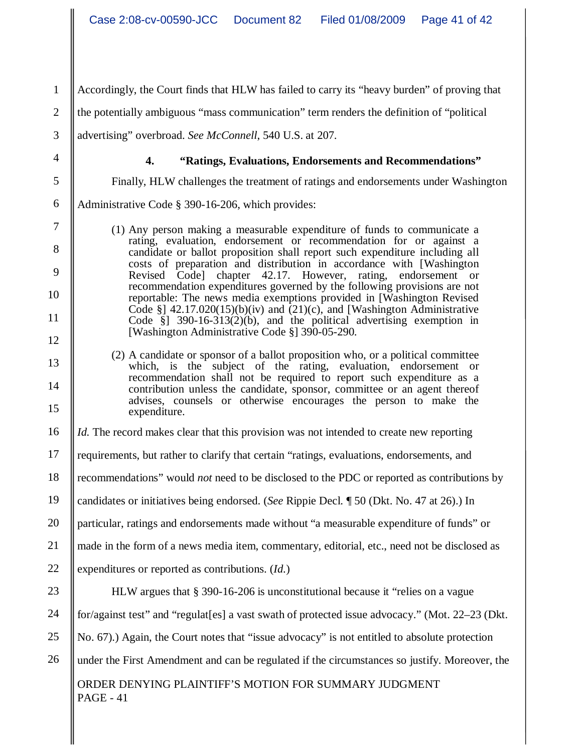ORDER DENYING PLAINTIFF'S MOTION FOR SUMMARY JUDGMENT PAGE - 41 1  $\mathfrak{D}$ 3 4 5 6 7 8 9 10 11 12 13 14 15 16 17 18 19 20 21 22 23 24 25 26 Accordingly, the Court finds that HLW has failed to carry its "heavy burden" of proving that the potentially ambiguous "mass communication" term renders the definition of "political advertising" overbroad. *See McConnell*, 540 U.S. at 207. **4. "Ratings, Evaluations, Endorsements and Recommendations"**  Finally, HLW challenges the treatment of ratings and endorsements under Washington Administrative Code § 390-16-206, which provides: (1) Any person making a measurable expenditure of funds to communicate a rating, evaluation, endorsement or recommendation for or against a candidate or ballot proposition shall report such expenditure including all costs of preparation and distribution in accordance with [Washington Revised Code] chapter 42.17. However, rating, endorsement or recommendation expenditures governed by the following provisions are not reportable: The news media exemptions provided in [Washington Revised Code §]  $42.17.020(15)(b)(iv)$  and  $(21)(c)$ , and [Washington Administrative Code  $\S$ ] 390-16-313(2)(b), and the political advertising exemption in [Washington Administrative Code §] 390-05-290. (2) A candidate or sponsor of a ballot proposition who, or a political committee which, is the subject of the rating, evaluation, endorsement or recommendation shall not be required to report such expenditure as a contribution unless the candidate, sponsor, committee or an agent thereof advises, counsels or otherwise encourages the person to make the expenditure. *Id.* The record makes clear that this provision was not intended to create new reporting requirements, but rather to clarify that certain "ratings, evaluations, endorsements, and recommendations" would *not* need to be disclosed to the PDC or reported as contributions by candidates or initiatives being endorsed. (*See* Rippie Decl. ¶ 50 (Dkt. No. 47 at 26).) In particular, ratings and endorsements made without "a measurable expenditure of funds" or made in the form of a news media item, commentary, editorial, etc., need not be disclosed as expenditures or reported as contributions. (*Id.*) HLW argues that § 390-16-206 is unconstitutional because it "relies on a vague for/against test" and "regulat[es] a vast swath of protected issue advocacy." (Mot. 22–23 (Dkt. No. 67).) Again, the Court notes that "issue advocacy" is not entitled to absolute protection under the First Amendment and can be regulated if the circumstances so justify. Moreover, the